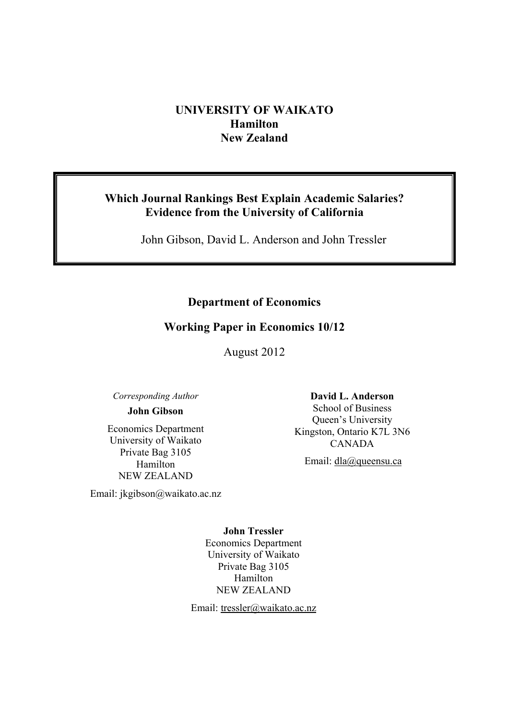# **UNIVERSITY OF WAIKATO Hamilton New Zealand**

# **Which Journal Rankings Best Explain Academic Salaries? Evidence from the University of California**

John Gibson, David L. Anderson and John Tressler

# **Department of Economics**

# **Working Paper in Economics 10/12**

August 2012

*Corresponding Author* 

# **John Gibson**

Economics Department University of Waikato Private Bag 3105 Hamilton NEW ZEALAND

Email: jkgibson@waikato.ac.nz

**David L. Anderson**  School of Business Queen's University Kingston, Ontario K7L 3N6 CANADA

Email: dla@queensu.ca

**John Tressler**  Economics Department University of Waikato Private Bag 3105 Hamilton NEW ZEALAND

Email: tressler@waikato.ac.nz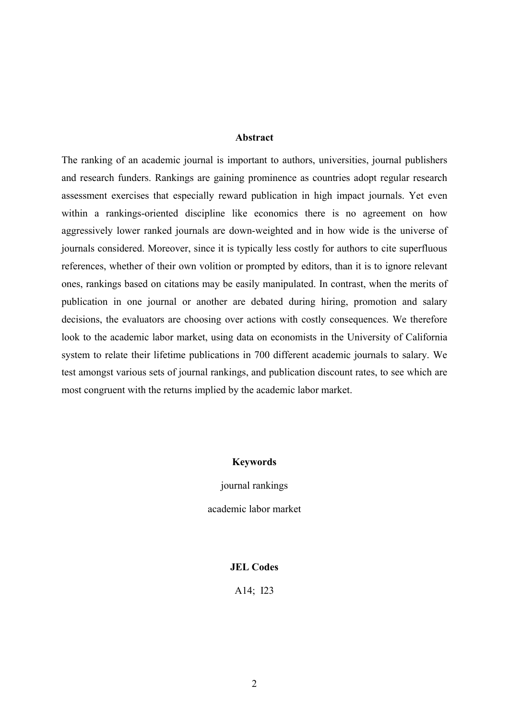## **Abstract**

The ranking of an academic journal is important to authors, universities, journal publishers and research funders. Rankings are gaining prominence as countries adopt regular research assessment exercises that especially reward publication in high impact journals. Yet even within a rankings-oriented discipline like economics there is no agreement on how aggressively lower ranked journals are down-weighted and in how wide is the universe of journals considered. Moreover, since it is typically less costly for authors to cite superfluous references, whether of their own volition or prompted by editors, than it is to ignore relevant ones, rankings based on citations may be easily manipulated. In contrast, when the merits of publication in one journal or another are debated during hiring, promotion and salary decisions, the evaluators are choosing over actions with costly consequences. We therefore look to the academic labor market, using data on economists in the University of California system to relate their lifetime publications in 700 different academic journals to salary. We test amongst various sets of journal rankings, and publication discount rates, to see which are most congruent with the returns implied by the academic labor market.

### **Keywords**

journal rankings academic labor market

## **JEL Codes**

A14; I23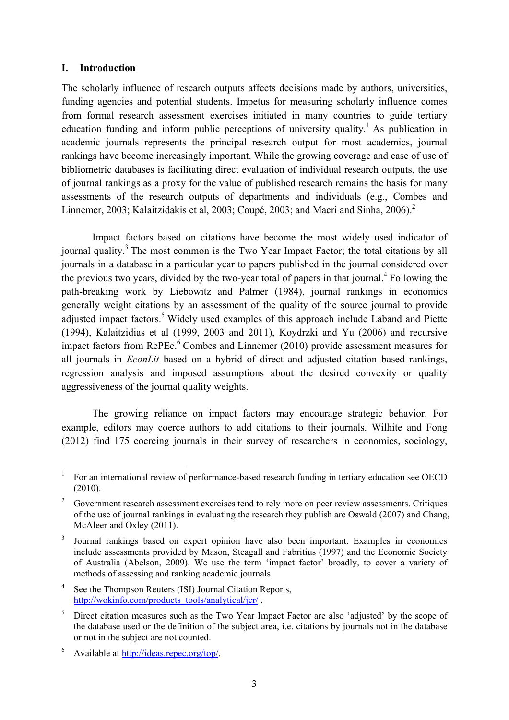## **I. Introduction**

<u>.</u>

The scholarly influence of research outputs affects decisions made by authors, universities, funding agencies and potential students. Impetus for measuring scholarly influence comes from formal research assessment exercises initiated in many countries to guide tertiary education funding and inform public perceptions of university quality.<sup>1</sup> As publication in academic journals represents the principal research output for most academics, journal rankings have become increasingly important. While the growing coverage and ease of use of bibliometric databases is facilitating direct evaluation of individual research outputs, the use of journal rankings as a proxy for the value of published research remains the basis for many assessments of the research outputs of departments and individuals (e.g., Combes and Linnemer, 2003; Kalaitzidakis et al, 2003; Coupé, 2003; and Macri and Sinha, 2006).<sup>2</sup>

Impact factors based on citations have become the most widely used indicator of journal quality.<sup>3</sup> The most common is the Two Year Impact Factor; the total citations by all journals in a database in a particular year to papers published in the journal considered over the previous two years, divided by the two-year total of papers in that journal.<sup>4</sup> Following the path-breaking work by Liebowitz and Palmer (1984), journal rankings in economics generally weight citations by an assessment of the quality of the source journal to provide adjusted impact factors.<sup>5</sup> Widely used examples of this approach include Laband and Piette (1994), Kalaitzidias et al (1999, 2003 and 2011), Koydrzki and Yu (2006) and recursive impact factors from RePEc.<sup>6</sup> Combes and Linnemer (2010) provide assessment measures for all journals in *EconLit* based on a hybrid of direct and adjusted citation based rankings, regression analysis and imposed assumptions about the desired convexity or quality aggressiveness of the journal quality weights.

The growing reliance on impact factors may encourage strategic behavior. For example, editors may coerce authors to add citations to their journals. Wilhite and Fong (2012) find 175 coercing journals in their survey of researchers in economics, sociology,

4 See the Thompson Reuters (ISI) Journal Citation Reports, http://wokinfo.com/products\_tools/analytical/jcr/.

<sup>1</sup> For an international review of performance-based research funding in tertiary education see OECD (2010).

<sup>&</sup>lt;sup>2</sup> Government research assessment exercises tend to rely more on peer review assessments. Critiques of the use of journal rankings in evaluating the research they publish are Oswald (2007) and Chang, McAleer and Oxley (2011).

<sup>3</sup> Journal rankings based on expert opinion have also been important. Examples in economics include assessments provided by Mason, Steagall and Fabritius (1997) and the Economic Society of Australia (Abelson, 2009). We use the term 'impact factor' broadly, to cover a variety of methods of assessing and ranking academic journals.

<sup>5</sup> Direct citation measures such as the Two Year Impact Factor are also 'adjusted' by the scope of the database used or the definition of the subject area, i.e. citations by journals not in the database or not in the subject are not counted.

<sup>6</sup> Available at http://ideas.repec.org/top/.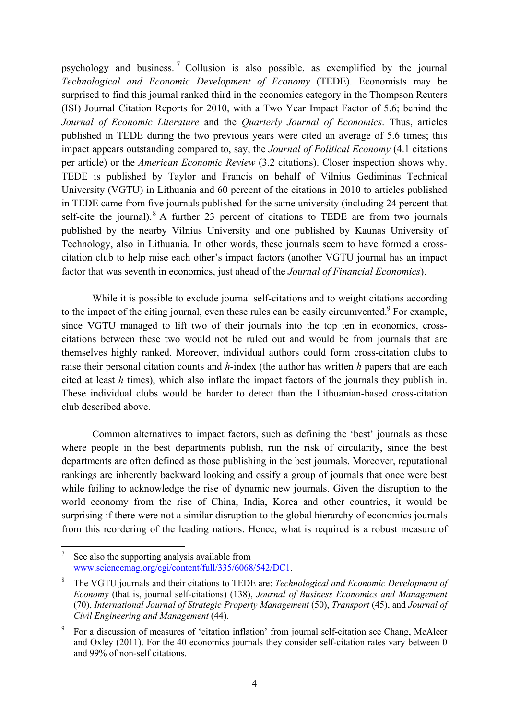psychology and business. 7 Collusion is also possible, as exemplified by the journal *Technological and Economic Development of Economy* (TEDE). Economists may be surprised to find this journal ranked third in the economics category in the Thompson Reuters (ISI) Journal Citation Reports for 2010, with a Two Year Impact Factor of 5.6; behind the *Journal of Economic Literature* and the *Quarterly Journal of Economics*. Thus, articles published in TEDE during the two previous years were cited an average of 5.6 times; this impact appears outstanding compared to, say, the *Journal of Political Economy* (4.1 citations per article) or the *American Economic Review* (3.2 citations). Closer inspection shows why. TEDE is published by Taylor and Francis on behalf of Vilnius Gediminas Technical University (VGTU) in Lithuania and 60 percent of the citations in 2010 to articles published in TEDE came from five journals published for the same university (including 24 percent that self-cite the journal).  $8$  A further 23 percent of citations to TEDE are from two journals published by the nearby Vilnius University and one published by Kaunas University of Technology, also in Lithuania. In other words, these journals seem to have formed a crosscitation club to help raise each other's impact factors (another VGTU journal has an impact factor that was seventh in economics, just ahead of the *Journal of Financial Economics*).

While it is possible to exclude journal self-citations and to weight citations according to the impact of the citing journal, even these rules can be easily circumvented.<sup>9</sup> For example, since VGTU managed to lift two of their journals into the top ten in economics, crosscitations between these two would not be ruled out and would be from journals that are themselves highly ranked. Moreover, individual authors could form cross-citation clubs to raise their personal citation counts and *h*-index (the author has written *h* papers that are each cited at least *h* times), which also inflate the impact factors of the journals they publish in. These individual clubs would be harder to detect than the Lithuanian-based cross-citation club described above.

Common alternatives to impact factors, such as defining the 'best' journals as those where people in the best departments publish, run the risk of circularity, since the best departments are often defined as those publishing in the best journals. Moreover, reputational rankings are inherently backward looking and ossify a group of journals that once were best while failing to acknowledge the rise of dynamic new journals. Given the disruption to the world economy from the rise of China, India, Korea and other countries, it would be surprising if there were not a similar disruption to the global hierarchy of economics journals from this reordering of the leading nations. Hence, what is required is a robust measure of

1

<sup>7</sup> See also the supporting analysis available from www.sciencemag.org/cgi/content/full/335/6068/542/DC1.

<sup>8</sup> The VGTU journals and their citations to TEDE are: *Technological and Economic Development of Economy* (that is, journal self-citations) (138), *Journal of Business Economics and Management* (70), *International Journal of Strategic Property Management* (50), *Transport* (45), and *Journal of Civil Engineering and Management* (44).

<sup>9</sup> For a discussion of measures of 'citation inflation' from journal self-citation see Chang, McAleer and Oxley (2011). For the 40 economics journals they consider self-citation rates vary between 0 and 99% of non-self citations.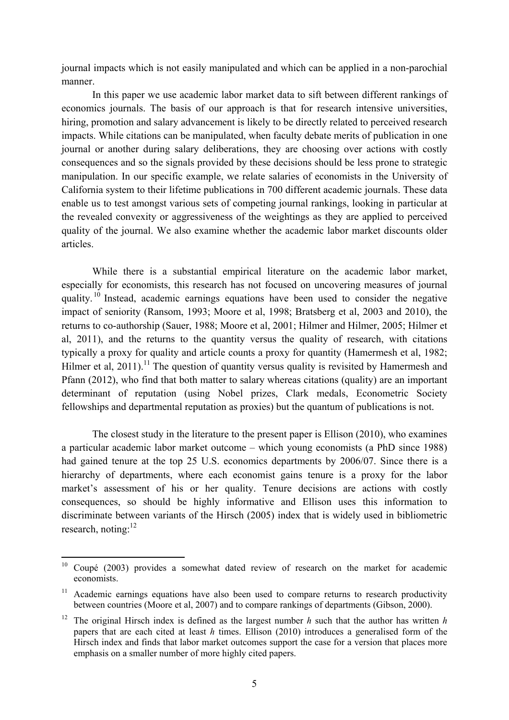journal impacts which is not easily manipulated and which can be applied in a non-parochial manner.

In this paper we use academic labor market data to sift between different rankings of economics journals. The basis of our approach is that for research intensive universities, hiring, promotion and salary advancement is likely to be directly related to perceived research impacts. While citations can be manipulated, when faculty debate merits of publication in one journal or another during salary deliberations, they are choosing over actions with costly consequences and so the signals provided by these decisions should be less prone to strategic manipulation. In our specific example, we relate salaries of economists in the University of California system to their lifetime publications in 700 different academic journals. These data enable us to test amongst various sets of competing journal rankings, looking in particular at the revealed convexity or aggressiveness of the weightings as they are applied to perceived quality of the journal. We also examine whether the academic labor market discounts older articles.

 While there is a substantial empirical literature on the academic labor market, especially for economists, this research has not focused on uncovering measures of journal quality. 10 Instead, academic earnings equations have been used to consider the negative impact of seniority (Ransom, 1993; Moore et al, 1998; Bratsberg et al, 2003 and 2010), the returns to co-authorship (Sauer, 1988; Moore et al, 2001; Hilmer and Hilmer, 2005; Hilmer et al, 2011), and the returns to the quantity versus the quality of research, with citations typically a proxy for quality and article counts a proxy for quantity (Hamermesh et al, 1982; Hilmer et al,  $2011$ ).<sup>11</sup> The question of quantity versus quality is revisited by Hamermesh and Pfann (2012), who find that both matter to salary whereas citations (quality) are an important determinant of reputation (using Nobel prizes, Clark medals, Econometric Society fellowships and departmental reputation as proxies) but the quantum of publications is not.

The closest study in the literature to the present paper is Ellison (2010), who examines a particular academic labor market outcome – which young economists (a PhD since 1988) had gained tenure at the top 25 U.S. economics departments by 2006/07. Since there is a hierarchy of departments, where each economist gains tenure is a proxy for the labor market's assessment of his or her quality. Tenure decisions are actions with costly consequences, so should be highly informative and Ellison uses this information to discriminate between variants of the Hirsch (2005) index that is widely used in bibliometric research, noting: $^{12}$ 

<u>.</u>

 $10$  Coupé (2003) provides a somewhat dated review of research on the market for academic economists.

 $11$  Academic earnings equations have also been used to compare returns to research productivity between countries (Moore et al, 2007) and to compare rankings of departments (Gibson, 2000).

<sup>12</sup> The original Hirsch index is defined as the largest number *h* such that the author has written *h* papers that are each cited at least *h* times. Ellison (2010) introduces a generalised form of the Hirsch index and finds that labor market outcomes support the case for a version that places more emphasis on a smaller number of more highly cited papers.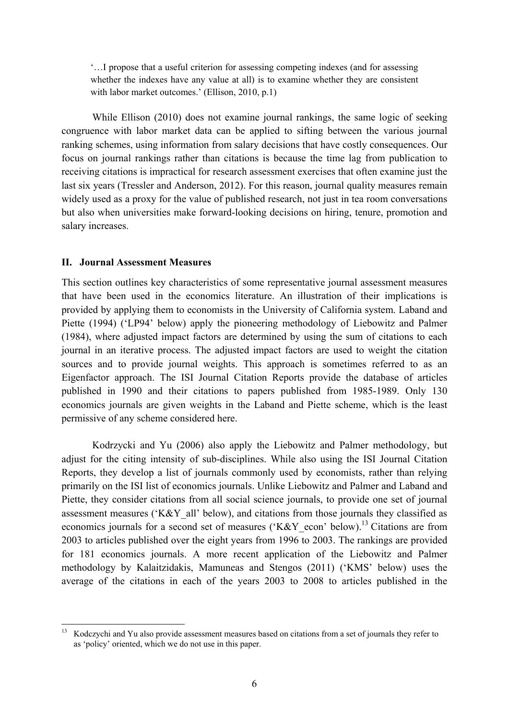'…I propose that a useful criterion for assessing competing indexes (and for assessing whether the indexes have any value at all) is to examine whether they are consistent with labor market outcomes.' (Ellison, 2010, p.1)

While Ellison (2010) does not examine journal rankings, the same logic of seeking congruence with labor market data can be applied to sifting between the various journal ranking schemes, using information from salary decisions that have costly consequences. Our focus on journal rankings rather than citations is because the time lag from publication to receiving citations is impractical for research assessment exercises that often examine just the last six years (Tressler and Anderson, 2012). For this reason, journal quality measures remain widely used as a proxy for the value of published research, not just in tea room conversations but also when universities make forward-looking decisions on hiring, tenure, promotion and salary increases.

### **II. Journal Assessment Measures**

1

This section outlines key characteristics of some representative journal assessment measures that have been used in the economics literature. An illustration of their implications is provided by applying them to economists in the University of California system. Laband and Piette (1994) ('LP94' below) apply the pioneering methodology of Liebowitz and Palmer (1984), where adjusted impact factors are determined by using the sum of citations to each journal in an iterative process. The adjusted impact factors are used to weight the citation sources and to provide journal weights. This approach is sometimes referred to as an Eigenfactor approach. The ISI Journal Citation Reports provide the database of articles published in 1990 and their citations to papers published from 1985-1989. Only 130 economics journals are given weights in the Laband and Piette scheme, which is the least permissive of any scheme considered here.

Kodrzycki and Yu (2006) also apply the Liebowitz and Palmer methodology, but adjust for the citing intensity of sub-disciplines. While also using the ISI Journal Citation Reports, they develop a list of journals commonly used by economists, rather than relying primarily on the ISI list of economics journals. Unlike Liebowitz and Palmer and Laband and Piette, they consider citations from all social science journals, to provide one set of journal assessment measures ('K&Y\_all' below), and citations from those journals they classified as economics journals for a second set of measures ('K&Y\_econ' below).<sup>13</sup> Citations are from 2003 to articles published over the eight years from 1996 to 2003. The rankings are provided for 181 economics journals. A more recent application of the Liebowitz and Palmer methodology by Kalaitzidakis, Mamuneas and Stengos (2011) ('KMS' below) uses the average of the citations in each of the years 2003 to 2008 to articles published in the

<sup>13</sup> Kodczychi and Yu also provide assessment measures based on citations from a set of journals they refer to as 'policy' oriented, which we do not use in this paper.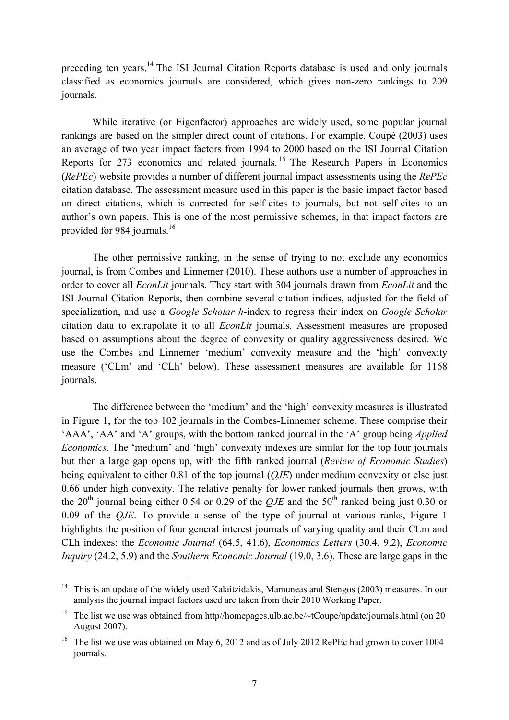preceding ten years.14 The ISI Journal Citation Reports database is used and only journals classified as economics journals are considered, which gives non-zero rankings to 209 journals.

 While iterative (or Eigenfactor) approaches are widely used, some popular journal rankings are based on the simpler direct count of citations. For example, Coupé (2003) uses an average of two year impact factors from 1994 to 2000 based on the ISI Journal Citation Reports for 273 economics and related journals. 15 The Research Papers in Economics (*RePEc*) website provides a number of different journal impact assessments using the *RePEc* citation database. The assessment measure used in this paper is the basic impact factor based on direct citations, which is corrected for self-cites to journals, but not self-cites to an author's own papers. This is one of the most permissive schemes, in that impact factors are provided for 984 journals.<sup>16</sup>

 The other permissive ranking, in the sense of trying to not exclude any economics journal, is from Combes and Linnemer (2010). These authors use a number of approaches in order to cover all *EconLit* journals. They start with 304 journals drawn from *EconLit* and the ISI Journal Citation Reports, then combine several citation indices, adjusted for the field of specialization, and use a *Google Scholar h*-index to regress their index on *Google Scholar* citation data to extrapolate it to all *EconLit* journals. Assessment measures are proposed based on assumptions about the degree of convexity or quality aggressiveness desired. We use the Combes and Linnemer 'medium' convexity measure and the 'high' convexity measure ('CLm' and 'CLh' below). These assessment measures are available for 1168 journals.

 The difference between the 'medium' and the 'high' convexity measures is illustrated in Figure 1, for the top 102 journals in the Combes-Linnemer scheme. These comprise their 'AAA', 'AA' and 'A' groups, with the bottom ranked journal in the 'A' group being *Applied Economics*. The 'medium' and 'high' convexity indexes are similar for the top four journals but then a large gap opens up, with the fifth ranked journal (*Review of Economic Studies*) being equivalent to either 0.81 of the top journal (*QJE*) under medium convexity or else just 0.66 under high convexity. The relative penalty for lower ranked journals then grows, with the 20<sup>th</sup> journal being either 0.54 or 0.29 of the *OJE* and the  $50<sup>th</sup>$  ranked being just 0.30 or 0.09 of the *QJE*. To provide a sense of the type of journal at various ranks, Figure 1 highlights the position of four general interest journals of varying quality and their CLm and CLh indexes: the *Economic Journal* (64.5, 41.6), *Economics Letters* (30.4, 9.2), *Economic Inquiry* (24.2, 5.9) and the *Southern Economic Journal* (19.0, 3.6). These are large gaps in the

 $14$ 14 This is an update of the widely used Kalaitzidakis, Mamuneas and Stengos (2003) measures. In our analysis the journal impact factors used are taken from their 2010 Working Paper.

<sup>&</sup>lt;sup>15</sup> The list we use was obtained from http//homepages.ulb.ac.be/ $\sim$ tCoupe/update/journals.html (on 20 August 2007).

<sup>&</sup>lt;sup>16</sup> The list we use was obtained on May 6, 2012 and as of July 2012 RePEc had grown to cover 1004 journals.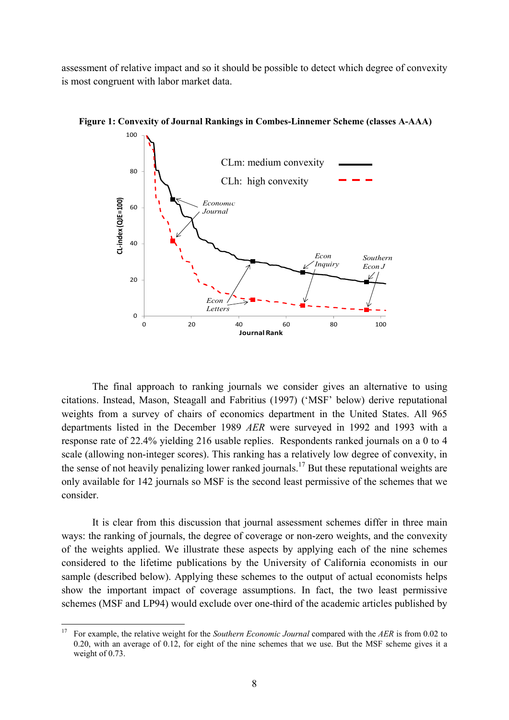assessment of relative impact and so it should be possible to detect which degree of convexity is most congruent with labor market data.



**Figure 1: Convexity of Journal Rankings in Combes-Linnemer Scheme (classes A-AAA)** 

The final approach to ranking journals we consider gives an alternative to using citations. Instead, Mason, Steagall and Fabritius (1997) ('MSF' below) derive reputational weights from a survey of chairs of economics department in the United States. All 965 departments listed in the December 1989 *AER* were surveyed in 1992 and 1993 with a response rate of 22.4% yielding 216 usable replies. Respondents ranked journals on a 0 to 4 scale (allowing non-integer scores). This ranking has a relatively low degree of convexity, in the sense of not heavily penalizing lower ranked journals.<sup>17</sup> But these reputational weights are only available for 142 journals so MSF is the second least permissive of the schemes that we consider.

 It is clear from this discussion that journal assessment schemes differ in three main ways: the ranking of journals, the degree of coverage or non-zero weights, and the convexity of the weights applied. We illustrate these aspects by applying each of the nine schemes considered to the lifetime publications by the University of California economists in our sample (described below). Applying these schemes to the output of actual economists helps show the important impact of coverage assumptions. In fact, the two least permissive schemes (MSF and LP94) would exclude over one-third of the academic articles published by

 $17\,$ 17 For example, the relative weight for the *Southern Economic Journal* compared with the *AER* is from 0.02 to 0.20, with an average of 0.12, for eight of the nine schemes that we use. But the MSF scheme gives it a weight of 0.73.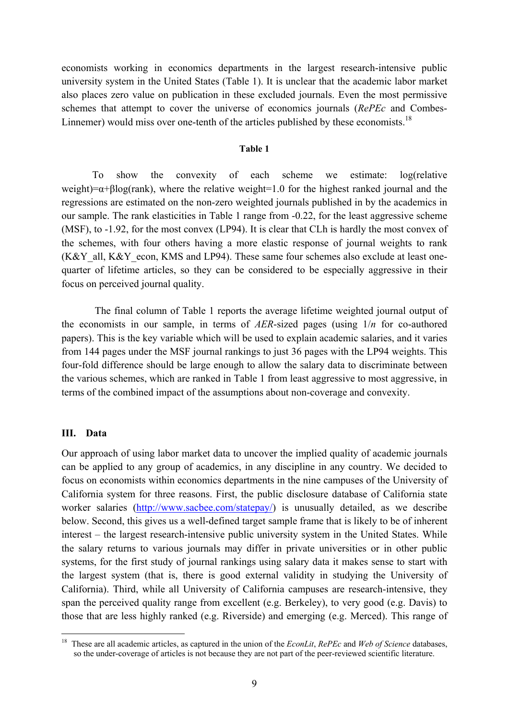economists working in economics departments in the largest research-intensive public university system in the United States (Table 1). It is unclear that the academic labor market also places zero value on publication in these excluded journals. Even the most permissive schemes that attempt to cover the universe of economics journals (*RePEc* and Combes-Linnemer) would miss over one-tenth of the articles published by these economists.<sup>18</sup>

#### **Table 1**

To show the convexity of each scheme we estimate: log(relative weight)= $\alpha$ +βlog(rank), where the relative weight=1.0 for the highest ranked journal and the regressions are estimated on the non-zero weighted journals published in by the academics in our sample. The rank elasticities in Table 1 range from -0.22, for the least aggressive scheme (MSF), to -1.92, for the most convex (LP94). It is clear that CLh is hardly the most convex of the schemes, with four others having a more elastic response of journal weights to rank  $(K&Y$  all,  $K&Y$  econ, KMS and LP94). These same four schemes also exclude at least onequarter of lifetime articles, so they can be considered to be especially aggressive in their focus on perceived journal quality.

 The final column of Table 1 reports the average lifetime weighted journal output of the economists in our sample, in terms of *AER*-sized pages (using 1/*n* for co-authored papers). This is the key variable which will be used to explain academic salaries, and it varies from 144 pages under the MSF journal rankings to just 36 pages with the LP94 weights. This four-fold difference should be large enough to allow the salary data to discriminate between the various schemes, which are ranked in Table 1 from least aggressive to most aggressive, in terms of the combined impact of the assumptions about non-coverage and convexity.

#### **III. Data**

1

Our approach of using labor market data to uncover the implied quality of academic journals can be applied to any group of academics, in any discipline in any country. We decided to focus on economists within economics departments in the nine campuses of the University of California system for three reasons. First, the public disclosure database of California state worker salaries (http://www.sacbee.com/statepay/) is unusually detailed, as we describe below. Second, this gives us a well-defined target sample frame that is likely to be of inherent interest – the largest research-intensive public university system in the United States. While the salary returns to various journals may differ in private universities or in other public systems, for the first study of journal rankings using salary data it makes sense to start with the largest system (that is, there is good external validity in studying the University of California). Third, while all University of California campuses are research-intensive, they span the perceived quality range from excellent (e.g. Berkeley), to very good (e.g. Davis) to those that are less highly ranked (e.g. Riverside) and emerging (e.g. Merced). This range of

<sup>18</sup> These are all academic articles, as captured in the union of the *EconLit*, *RePEc* and *Web of Science* databases, so the under-coverage of articles is not because they are not part of the peer-reviewed scientific literature.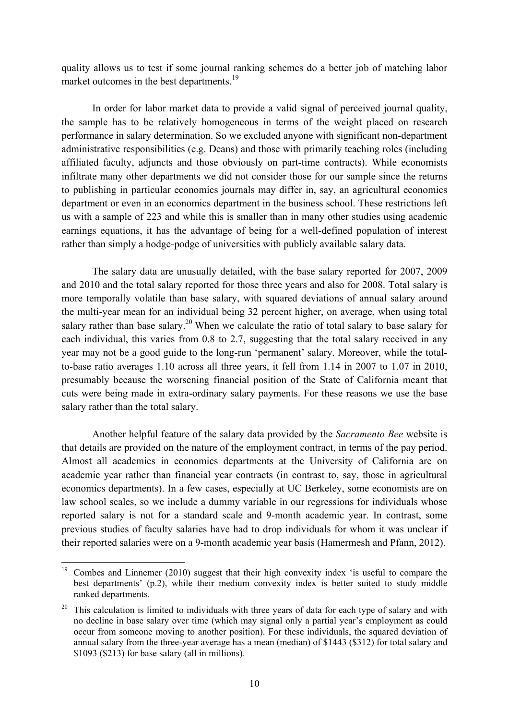quality allows us to test if some journal ranking schemes do a better job of matching labor market outcomes in the best departments.<sup>19</sup>

In order for labor market data to provide a valid signal of perceived journal quality, the sample has to be relatively homogeneous in terms of the weight placed on research performance in salary determination. So we excluded anyone with significant non-department administrative responsibilities (e.g. Deans) and those with primarily teaching roles (including affiliated faculty, adjuncts and those obviously on part-time contracts). While economists infiltrate many other departments we did not consider those for our sample since the returns to publishing in particular economics journals may differ in, say, an agricultural economics department or even in an economics department in the business school. These restrictions left us with a sample of 223 and while this is smaller than in many other studies using academic earnings equations, it has the advantage of being for a well-defined population of interest rather than simply a hodge-podge of universities with publicly available salary data.

The salary data are unusually detailed, with the base salary reported for 2007, 2009 and 2010 and the total salary reported for those three years and also for 2008. Total salary is more temporally volatile than base salary, with squared deviations of annual salary around the multi-year mean for an individual being 32 percent higher, on average, when using total salary rather than base salary.<sup>20</sup> When we calculate the ratio of total salary to base salary for each individual, this varies from 0.8 to 2.7, suggesting that the total salary received in any year may not be a good guide to the long-run 'permanent' salary. Moreover, while the totalto-base ratio averages 1.10 across all three years, it fell from 1.14 in 2007 to 1.07 in 2010, presumably because the worsening financial position of the State of California meant that cuts were being made in extra-ordinary salary payments. For these reasons we use the base salary rather than the total salary.

Another helpful feature of the salary data provided by the *Sacramento Bee* website is that details are provided on the nature of the employment contract, in terms of the pay period. Almost all academics in economics departments at the University of California are on academic year rather than financial year contracts (in contrast to, say, those in agricultural economics departments). In a few cases, especially at UC Berkeley, some economists are on law school scales, so we include a dummy variable in our regressions for individuals whose reported salary is not for a standard scale and 9-month academic year. In contrast, some previous studies of faculty salaries have had to drop individuals for whom it was unclear if their reported salaries were on a 9-month academic year basis (Hamermesh and Pfann, 2012).

1

<sup>&</sup>lt;sup>19</sup> Combes and Linnemer (2010) suggest that their high convexity index 'is useful to compare the best departments' (p.2), while their medium convexity index is better suited to study middle ranked departments.

 $20$  This calculation is limited to individuals with three years of data for each type of salary and with no decline in base salary over time (which may signal only a partial year's employment as could occur from someone moving to another position). For these individuals, the squared deviation of annual salary from the three-year average has a mean (median) of \$1443 (\$312) for total salary and \$1093 (\$213) for base salary (all in millions).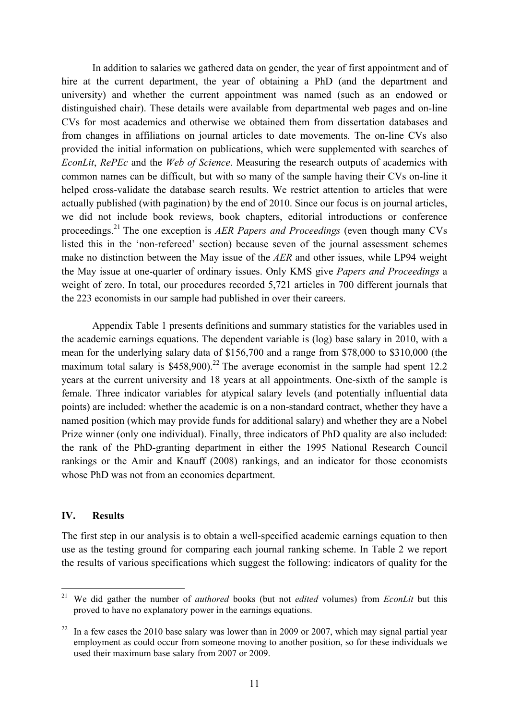In addition to salaries we gathered data on gender, the year of first appointment and of hire at the current department, the year of obtaining a PhD (and the department and university) and whether the current appointment was named (such as an endowed or distinguished chair). These details were available from departmental web pages and on-line CVs for most academics and otherwise we obtained them from dissertation databases and from changes in affiliations on journal articles to date movements. The on-line CVs also provided the initial information on publications, which were supplemented with searches of *EconLit*, *RePEc* and the *Web of Science*. Measuring the research outputs of academics with common names can be difficult, but with so many of the sample having their CVs on-line it helped cross-validate the database search results. We restrict attention to articles that were actually published (with pagination) by the end of 2010. Since our focus is on journal articles, we did not include book reviews, book chapters, editorial introductions or conference proceedings.21 The one exception is *AER Papers and Proceedings* (even though many CVs listed this in the 'non-refereed' section) because seven of the journal assessment schemes make no distinction between the May issue of the *AER* and other issues, while LP94 weight the May issue at one-quarter of ordinary issues. Only KMS give *Papers and Proceedings* a weight of zero. In total, our procedures recorded 5,721 articles in 700 different journals that the 223 economists in our sample had published in over their careers.

 Appendix Table 1 presents definitions and summary statistics for the variables used in the academic earnings equations. The dependent variable is (log) base salary in 2010, with a mean for the underlying salary data of \$156,700 and a range from \$78,000 to \$310,000 (the maximum total salary is  $$458,900$ .<sup>22</sup> The average economist in the sample had spent 12.2 years at the current university and 18 years at all appointments. One-sixth of the sample is female. Three indicator variables for atypical salary levels (and potentially influential data points) are included: whether the academic is on a non-standard contract, whether they have a named position (which may provide funds for additional salary) and whether they are a Nobel Prize winner (only one individual). Finally, three indicators of PhD quality are also included: the rank of the PhD-granting department in either the 1995 National Research Council rankings or the Amir and Knauff (2008) rankings, and an indicator for those economists whose PhD was not from an economics department.

## **IV. Results**

1

The first step in our analysis is to obtain a well-specified academic earnings equation to then use as the testing ground for comparing each journal ranking scheme. In Table 2 we report the results of various specifications which suggest the following: indicators of quality for the

<sup>21</sup> We did gather the number of *authored* books (but not *edited* volumes) from *EconLit* but this proved to have no explanatory power in the earnings equations.

 $22$  In a few cases the 2010 base salary was lower than in 2009 or 2007, which may signal partial year employment as could occur from someone moving to another position, so for these individuals we used their maximum base salary from 2007 or 2009.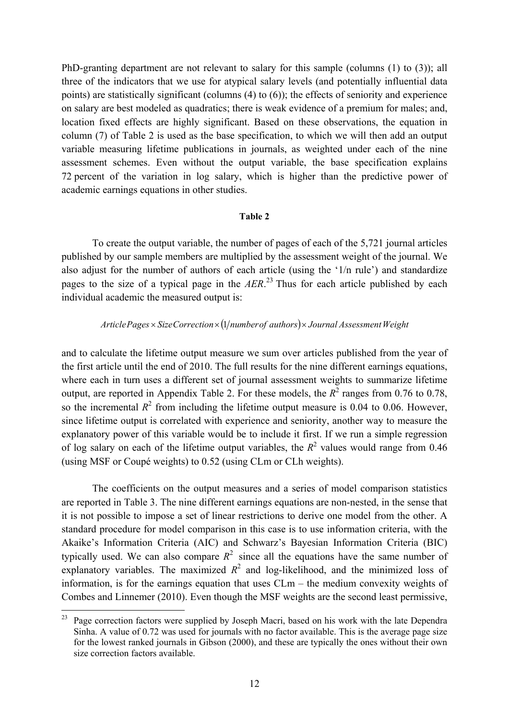PhD-granting department are not relevant to salary for this sample (columns (1) to (3)); all three of the indicators that we use for atypical salary levels (and potentially influential data points) are statistically significant (columns (4) to (6)); the effects of seniority and experience on salary are best modeled as quadratics; there is weak evidence of a premium for males; and, location fixed effects are highly significant. Based on these observations, the equation in column (7) of Table 2 is used as the base specification, to which we will then add an output variable measuring lifetime publications in journals, as weighted under each of the nine assessment schemes. Even without the output variable, the base specification explains 72 percent of the variation in log salary, which is higher than the predictive power of academic earnings equations in other studies.

#### **Table 2**

 To create the output variable, the number of pages of each of the 5,721 journal articles published by our sample members are multiplied by the assessment weight of the journal. We also adjust for the number of authors of each article (using the '1/n rule') and standardize pages to the size of a typical page in the *AER*. 23 Thus for each article published by each individual academic the measured output is:

## *ArticlePages* × *SizeCorrection* × (1/*number of authors*) × *Journal Assessment Weight*

and to calculate the lifetime output measure we sum over articles published from the year of the first article until the end of 2010. The full results for the nine different earnings equations, where each in turn uses a different set of journal assessment weights to summarize lifetime output, are reported in Appendix Table 2. For these models, the  $R^2$  ranges from 0.76 to 0.78, so the incremental  $R^2$  from including the lifetime output measure is 0.04 to 0.06. However, since lifetime output is correlated with experience and seniority, another way to measure the explanatory power of this variable would be to include it first. If we run a simple regression of log salary on each of the lifetime output variables, the  $R^2$  values would range from 0.46 (using MSF or Coupé weights) to 0.52 (using CLm or CLh weights).

The coefficients on the output measures and a series of model comparison statistics are reported in Table 3. The nine different earnings equations are non-nested, in the sense that it is not possible to impose a set of linear restrictions to derive one model from the other. A standard procedure for model comparison in this case is to use information criteria, with the Akaike's Information Criteria (AIC) and Schwarz's Bayesian Information Criteria (BIC) typically used. We can also compare  $R^2$  since all the equations have the same number of explanatory variables. The maximized  $R^2$  and log-likelihood, and the minimized loss of information, is for the earnings equation that uses CLm – the medium convexity weights of Combes and Linnemer (2010). Even though the MSF weights are the second least permissive,

 $23$ Page correction factors were supplied by Joseph Macri, based on his work with the late Dependra Sinha. A value of 0.72 was used for journals with no factor available. This is the average page size for the lowest ranked journals in Gibson (2000), and these are typically the ones without their own size correction factors available.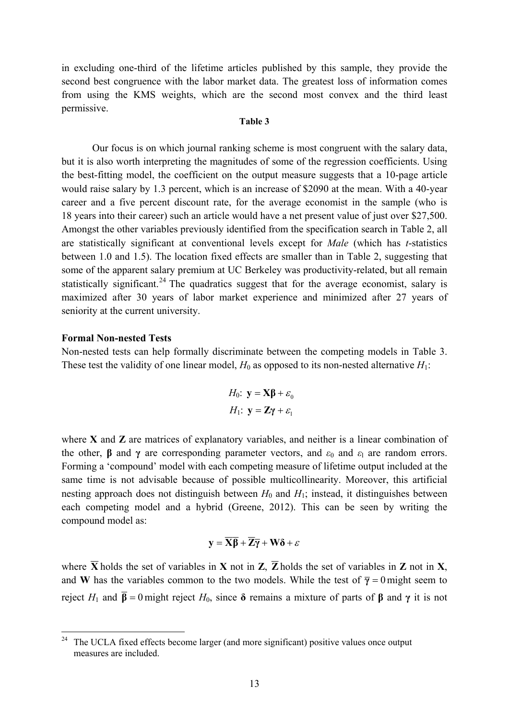in excluding one-third of the lifetime articles published by this sample, they provide the second best congruence with the labor market data. The greatest loss of information comes from using the KMS weights, which are the second most convex and the third least permissive.

#### **Table 3**

 Our focus is on which journal ranking scheme is most congruent with the salary data, but it is also worth interpreting the magnitudes of some of the regression coefficients. Using the best-fitting model, the coefficient on the output measure suggests that a 10-page article would raise salary by 1.3 percent, which is an increase of \$2090 at the mean. With a 40-year career and a five percent discount rate, for the average economist in the sample (who is 18 years into their career) such an article would have a net present value of just over \$27,500. Amongst the other variables previously identified from the specification search in Table 2, all are statistically significant at conventional levels except for *Male* (which has *t*-statistics between 1.0 and 1.5). The location fixed effects are smaller than in Table 2, suggesting that some of the apparent salary premium at UC Berkeley was productivity-related, but all remain statistically significant.<sup>24</sup> The quadratics suggest that for the average economist, salary is maximized after 30 years of labor market experience and minimized after 27 years of seniority at the current university.

### **Formal Non-nested Tests**

Non-nested tests can help formally discriminate between the competing models in Table 3. These test the validity of one linear model,  $H_0$  as opposed to its non-nested alternative  $H_1$ :

$$
H_0: \mathbf{y} = \mathbf{X}\boldsymbol{\beta} + \varepsilon_0
$$

$$
H_1: \mathbf{y} = \mathbf{Z}\boldsymbol{\gamma} + \varepsilon_1
$$

where **X** and **Z** are matrices of explanatory variables, and neither is a linear combination of the other, **β** and **γ** are corresponding parameter vectors, and  $\varepsilon_0$  and  $\varepsilon_1$  are random errors. Forming a 'compound' model with each competing measure of lifetime output included at the same time is not advisable because of possible multicollinearity. Moreover, this artificial nesting approach does not distinguish between  $H_0$  and  $H_1$ ; instead, it distinguishes between each competing model and a hybrid (Greene, 2012). This can be seen by writing the compound model as:

$$
y = \overline{X}\overline{\beta} + \overline{Z}\overline{\gamma} + W\delta + \varepsilon
$$

where  $\overline{X}$  holds the set of variables in **X** not in **Z**,  $\overline{Z}$  holds the set of variables in **Z** not in **X**, and **W** has the variables common to the two models. While the test of  $\bar{y} = 0$  might seem to reject *H*<sub>1</sub> and **β** = 0 might reject *H*<sub>0</sub>, since **δ** remains a mixture of parts of **β** and **γ** it is not

 $24$ 24 The UCLA fixed effects become larger (and more significant) positive values once output measures are included.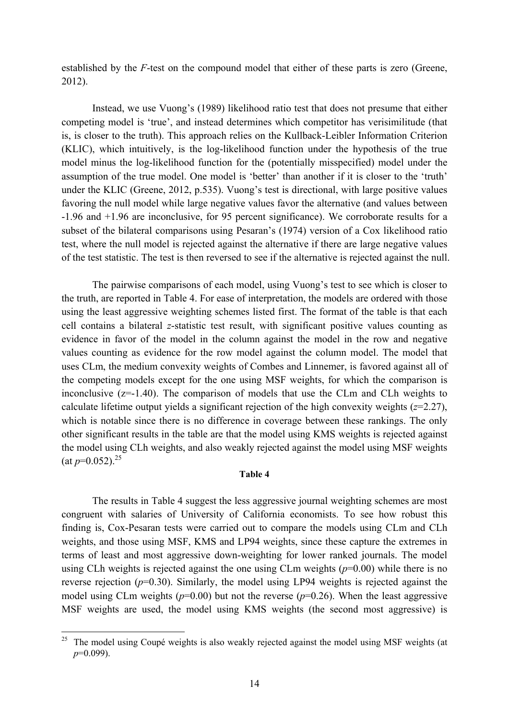established by the *F*-test on the compound model that either of these parts is zero (Greene, 2012).

Instead, we use Vuong's (1989) likelihood ratio test that does not presume that either competing model is 'true', and instead determines which competitor has verisimilitude (that is, is closer to the truth). This approach relies on the Kullback-Leibler Information Criterion (KLIC), which intuitively, is the log-likelihood function under the hypothesis of the true model minus the log-likelihood function for the (potentially misspecified) model under the assumption of the true model. One model is 'better' than another if it is closer to the 'truth' under the KLIC (Greene, 2012, p.535). Vuong's test is directional, with large positive values favoring the null model while large negative values favor the alternative (and values between -1.96 and +1.96 are inconclusive, for 95 percent significance). We corroborate results for a subset of the bilateral comparisons using Pesaran's (1974) version of a Cox likelihood ratio test, where the null model is rejected against the alternative if there are large negative values of the test statistic. The test is then reversed to see if the alternative is rejected against the null.

The pairwise comparisons of each model, using Vuong's test to see which is closer to the truth, are reported in Table 4. For ease of interpretation, the models are ordered with those using the least aggressive weighting schemes listed first. The format of the table is that each cell contains a bilateral *z*-statistic test result, with significant positive values counting as evidence in favor of the model in the column against the model in the row and negative values counting as evidence for the row model against the column model. The model that uses CLm, the medium convexity weights of Combes and Linnemer, is favored against all of the competing models except for the one using MSF weights, for which the comparison is inconclusive (z=-1.40). The comparison of models that use the CLm and CLh weights to calculate lifetime output yields a significant rejection of the high convexity weights (*z*=2.27), which is notable since there is no difference in coverage between these rankings. The only other significant results in the table are that the model using KMS weights is rejected against the model using CLh weights, and also weakly rejected against the model using MSF weights  $(at p=0.052)^{25}$ 

### **Table 4**

 The results in Table 4 suggest the less aggressive journal weighting schemes are most congruent with salaries of University of California economists. To see how robust this finding is, Cox-Pesaran tests were carried out to compare the models using CLm and CLh weights, and those using MSF, KMS and LP94 weights, since these capture the extremes in terms of least and most aggressive down-weighting for lower ranked journals. The model using CLh weights is rejected against the one using CLm weights (*p*=0.00) while there is no reverse rejection (*p*=0.30). Similarly, the model using LP94 weights is rejected against the model using CLm weights  $(p=0.00)$  but not the reverse  $(p=0.26)$ . When the least aggressive MSF weights are used, the model using KMS weights (the second most aggressive) is

<sup>25</sup> 25 The model using Coupé weights is also weakly rejected against the model using MSF weights (at *p*=0.099).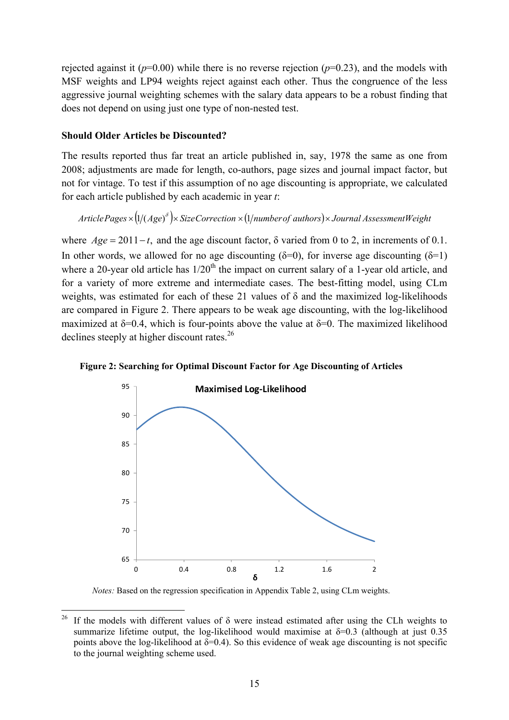rejected against it  $(p=0.00)$  while there is no reverse rejection  $(p=0.23)$ , and the models with MSF weights and LP94 weights reject against each other. Thus the congruence of the less aggressive journal weighting schemes with the salary data appears to be a robust finding that does not depend on using just one type of non-nested test.

## **Should Older Articles be Discounted?**

The results reported thus far treat an article published in, say, 1978 the same as one from 2008; adjustments are made for length, co-authors, page sizes and journal impact factor, but not for vintage. To test if this assumption of no age discounting is appropriate, we calculated for each article published by each academic in year *t*:

*ArticlePages* × (1/(*Age*)<sup> $\delta$ </sup>)× *SizeCorrection* × (1/*numberof authors*)× *Journal AssessmentWeight* 

where  $Age = 2011-t$ , and the age discount factor,  $\delta$  varied from 0 to 2, in increments of 0.1. In other words, we allowed for no age discounting ( $\delta$ =0), for inverse age discounting ( $\delta$ =1) where a 20-year old article has  $1/20<sup>th</sup>$  the impact on current salary of a 1-year old article, and for a variety of more extreme and intermediate cases. The best-fitting model, using CLm weights, was estimated for each of these 21 values of  $\delta$  and the maximized log-likelihoods are compared in Figure 2. There appears to be weak age discounting, with the log-likelihood maximized at  $\delta$ =0.4, which is four-points above the value at  $\delta$ =0. The maximized likelihood declines steeply at higher discount rates.<sup>26</sup>



**Figure 2: Searching for Optimal Discount Factor for Age Discounting of Articles** 

 *Notes:* Based on the regression specification in Appendix Table 2, using CLm weights.

 $26$ If the models with different values of  $\delta$  were instead estimated after using the CLh weights to summarize lifetime output, the log-likelihood would maximise at  $\delta$ =0.3 (although at just 0.35 points above the log-likelihood at  $\delta = 0.4$ ). So this evidence of weak age discounting is not specific to the journal weighting scheme used.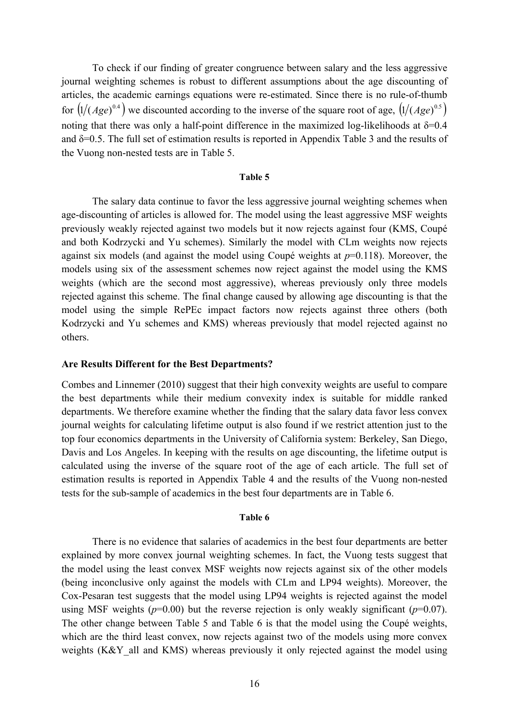To check if our finding of greater congruence between salary and the less aggressive journal weighting schemes is robust to different assumptions about the age discounting of articles, the academic earnings equations were re-estimated. Since there is no rule-of-thumb for  $(1/(Age)^{0.4})$  we discounted according to the inverse of the square root of age,  $(1/(Age)^{0.5})$ noting that there was only a half-point difference in the maximized log-likelihoods at  $\delta$ =0.4 and  $\delta$ =0.5. The full set of estimation results is reported in Appendix Table 3 and the results of the Vuong non-nested tests are in Table 5.

#### **Table 5**

The salary data continue to favor the less aggressive journal weighting schemes when age-discounting of articles is allowed for. The model using the least aggressive MSF weights previously weakly rejected against two models but it now rejects against four (KMS, Coupé and both Kodrzycki and Yu schemes). Similarly the model with CLm weights now rejects against six models (and against the model using Coupé weights at *p*=0.118). Moreover, the models using six of the assessment schemes now reject against the model using the KMS weights (which are the second most aggressive), whereas previously only three models rejected against this scheme. The final change caused by allowing age discounting is that the model using the simple RePEc impact factors now rejects against three others (both Kodrzycki and Yu schemes and KMS) whereas previously that model rejected against no others.

### **Are Results Different for the Best Departments?**

Combes and Linnemer (2010) suggest that their high convexity weights are useful to compare the best departments while their medium convexity index is suitable for middle ranked departments. We therefore examine whether the finding that the salary data favor less convex journal weights for calculating lifetime output is also found if we restrict attention just to the top four economics departments in the University of California system: Berkeley, San Diego, Davis and Los Angeles. In keeping with the results on age discounting, the lifetime output is calculated using the inverse of the square root of the age of each article. The full set of estimation results is reported in Appendix Table 4 and the results of the Vuong non-nested tests for the sub-sample of academics in the best four departments are in Table 6.

#### **Table 6**

 There is no evidence that salaries of academics in the best four departments are better explained by more convex journal weighting schemes. In fact, the Vuong tests suggest that the model using the least convex MSF weights now rejects against six of the other models (being inconclusive only against the models with CLm and LP94 weights). Moreover, the Cox-Pesaran test suggests that the model using LP94 weights is rejected against the model using MSF weights ( $p=0.00$ ) but the reverse rejection is only weakly significant ( $p=0.07$ ). The other change between Table 5 and Table 6 is that the model using the Coupé weights, which are the third least convex, now rejects against two of the models using more convex weights (K&Y all and KMS) whereas previously it only rejected against the model using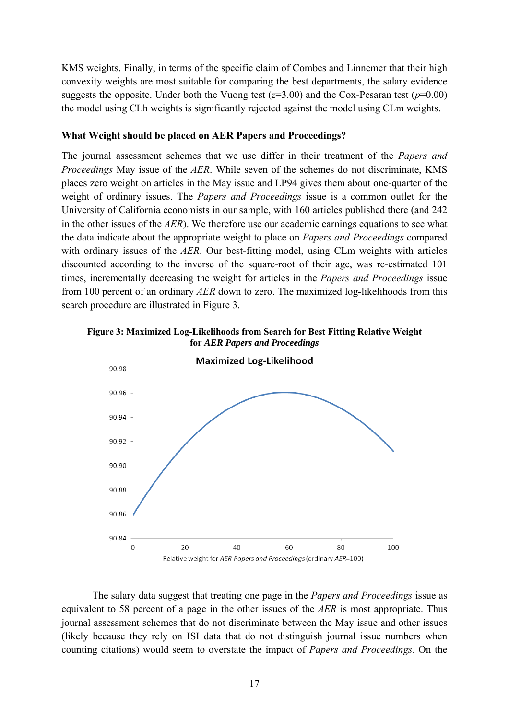KMS weights. Finally, in terms of the specific claim of Combes and Linnemer that their high convexity weights are most suitable for comparing the best departments, the salary evidence suggests the opposite. Under both the Vuong test  $(z=3.00)$  and the Cox-Pesaran test  $(p=0.00)$ the model using CLh weights is significantly rejected against the model using CLm weights.

# **What Weight should be placed on AER Papers and Proceedings?**

The journal assessment schemes that we use differ in their treatment of the *Papers and Proceedings* May issue of the *AER*. While seven of the schemes do not discriminate, KMS places zero weight on articles in the May issue and LP94 gives them about one-quarter of the weight of ordinary issues. The *Papers and Proceedings* issue is a common outlet for the University of California economists in our sample, with 160 articles published there (and 242 in the other issues of the *AER*). We therefore use our academic earnings equations to see what the data indicate about the appropriate weight to place on *Papers and Proceedings* compared with ordinary issues of the *AER*. Our best-fitting model, using CLm weights with articles discounted according to the inverse of the square-root of their age, was re-estimated 101 times, incrementally decreasing the weight for articles in the *Papers and Proceedings* issue from 100 percent of an ordinary *AER* down to zero. The maximized log-likelihoods from this search procedure are illustrated in Figure 3.





 The salary data suggest that treating one page in the *Papers and Proceedings* issue as equivalent to 58 percent of a page in the other issues of the *AER* is most appropriate. Thus journal assessment schemes that do not discriminate between the May issue and other issues (likely because they rely on ISI data that do not distinguish journal issue numbers when counting citations) would seem to overstate the impact of *Papers and Proceedings*. On the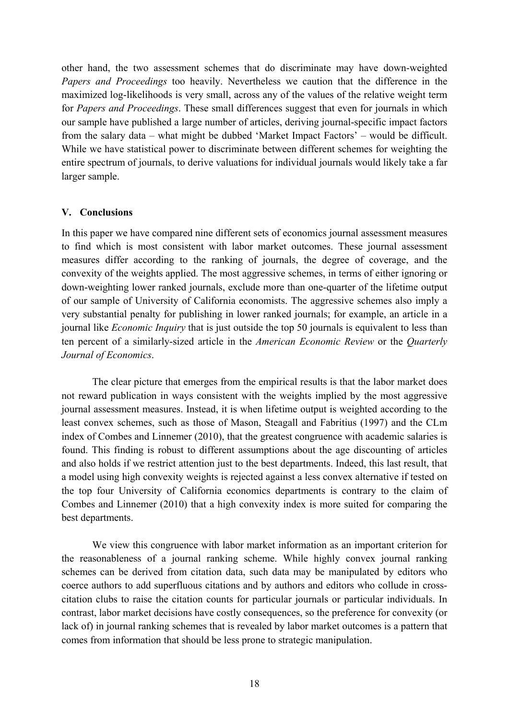other hand, the two assessment schemes that do discriminate may have down-weighted *Papers and Proceedings* too heavily. Nevertheless we caution that the difference in the maximized log-likelihoods is very small, across any of the values of the relative weight term for *Papers and Proceedings*. These small differences suggest that even for journals in which our sample have published a large number of articles, deriving journal-specific impact factors from the salary data – what might be dubbed 'Market Impact Factors' – would be difficult. While we have statistical power to discriminate between different schemes for weighting the entire spectrum of journals, to derive valuations for individual journals would likely take a far larger sample.

## **V. Conclusions**

In this paper we have compared nine different sets of economics journal assessment measures to find which is most consistent with labor market outcomes. These journal assessment measures differ according to the ranking of journals, the degree of coverage, and the convexity of the weights applied. The most aggressive schemes, in terms of either ignoring or down-weighting lower ranked journals, exclude more than one-quarter of the lifetime output of our sample of University of California economists. The aggressive schemes also imply a very substantial penalty for publishing in lower ranked journals; for example, an article in a journal like *Economic Inquiry* that is just outside the top 50 journals is equivalent to less than ten percent of a similarly-sized article in the *American Economic Review* or the *Quarterly Journal of Economics*.

 The clear picture that emerges from the empirical results is that the labor market does not reward publication in ways consistent with the weights implied by the most aggressive journal assessment measures. Instead, it is when lifetime output is weighted according to the least convex schemes, such as those of Mason, Steagall and Fabritius (1997) and the CLm index of Combes and Linnemer (2010), that the greatest congruence with academic salaries is found. This finding is robust to different assumptions about the age discounting of articles and also holds if we restrict attention just to the best departments. Indeed, this last result, that a model using high convexity weights is rejected against a less convex alternative if tested on the top four University of California economics departments is contrary to the claim of Combes and Linnemer (2010) that a high convexity index is more suited for comparing the best departments.

 We view this congruence with labor market information as an important criterion for the reasonableness of a journal ranking scheme. While highly convex journal ranking schemes can be derived from citation data, such data may be manipulated by editors who coerce authors to add superfluous citations and by authors and editors who collude in crosscitation clubs to raise the citation counts for particular journals or particular individuals. In contrast, labor market decisions have costly consequences, so the preference for convexity (or lack of) in journal ranking schemes that is revealed by labor market outcomes is a pattern that comes from information that should be less prone to strategic manipulation.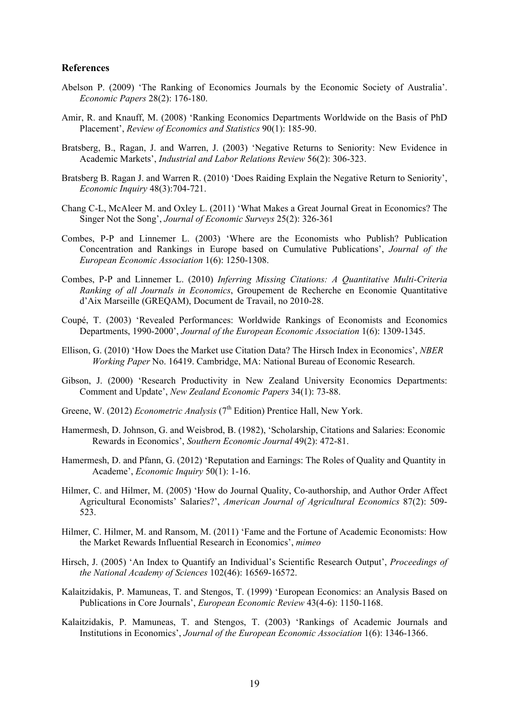### **References**

- Abelson P. (2009) 'The Ranking of Economics Journals by the Economic Society of Australia'. *Economic Papers* 28(2): 176-180.
- Amir, R. and Knauff, M. (2008) 'Ranking Economics Departments Worldwide on the Basis of PhD Placement', *Review of Economics and Statistics* 90(1): 185-90.
- Bratsberg, B., Ragan, J. and Warren, J. (2003) 'Negative Returns to Seniority: New Evidence in Academic Markets', *Industrial and Labor Relations Review* 56(2): 306-323.
- Bratsberg B. Ragan J. and Warren R. (2010) 'Does Raiding Explain the Negative Return to Seniority', *Economic Inquiry* 48(3):704-721.
- Chang C-L, McAleer M. and Oxley L. (2011) 'What Makes a Great Journal Great in Economics? The Singer Not the Song', *Journal of Economic Surveys* 25(2): 326-361
- Combes, P-P and Linnemer L. (2003) 'Where are the Economists who Publish? Publication Concentration and Rankings in Europe based on Cumulative Publications', *Journal of the European Economic Association* 1(6): 1250-1308.
- Combes, P-P and Linnemer L. (2010) *Inferring Missing Citations: A Quantitative Multi-Criteria Ranking of all Journals in Economics*, Groupement de Recherche en Economie Quantitative d'Aix Marseille (GREQAM), Document de Travail, no 2010-28.
- Coupé, T. (2003) 'Revealed Performances: Worldwide Rankings of Economists and Economics Departments, 1990-2000', *Journal of the European Economic Association* 1(6): 1309-1345.
- Ellison, G. (2010) 'How Does the Market use Citation Data? The Hirsch Index in Economics', *NBER Working Paper* No. 16419. Cambridge, MA: National Bureau of Economic Research.
- Gibson, J. (2000) 'Research Productivity in New Zealand University Economics Departments: Comment and Update', *New Zealand Economic Papers* 34(1): 73-88.
- Greene, W. (2012) *Econometric Analysis* (7<sup>th</sup> Edition) Prentice Hall, New York.
- Hamermesh, D. Johnson, G. and Weisbrod, B. (1982), 'Scholarship, Citations and Salaries: Economic Rewards in Economics', *Southern Economic Journal* 49(2): 472-81.
- Hamermesh, D. and Pfann, G. (2012) 'Reputation and Earnings: The Roles of Quality and Quantity in Academe', *Economic Inquiry* 50(1): 1-16.
- Hilmer, C. and Hilmer, M. (2005) 'How do Journal Quality, Co-authorship, and Author Order Affect Agricultural Economists' Salaries?', *American Journal of Agricultural Economics* 87(2): 509- 523.
- Hilmer, C. Hilmer, M. and Ransom, M. (2011) 'Fame and the Fortune of Academic Economists: How the Market Rewards Influential Research in Economics', *mimeo*
- Hirsch, J. (2005) 'An Index to Quantify an Individual's Scientific Research Output', *Proceedings of the National Academy of Sciences* 102(46): 16569-16572.
- Kalaitzidakis, P. Mamuneas, T. and Stengos, T. (1999) 'European Economics: an Analysis Based on Publications in Core Journals', *European Economic Review* 43(4-6): 1150-1168.
- Kalaitzidakis, P. Mamuneas, T. and Stengos, T. (2003) 'Rankings of Academic Journals and Institutions in Economics', *Journal of the European Economic Association* 1(6): 1346-1366.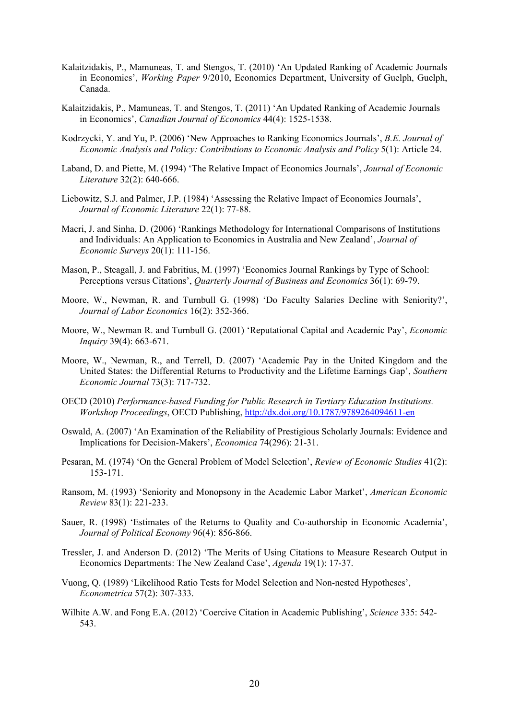- Kalaitzidakis, P., Mamuneas, T. and Stengos, T. (2010) 'An Updated Ranking of Academic Journals in Economics', *Working Paper* 9/2010, Economics Department, University of Guelph, Guelph, Canada.
- Kalaitzidakis, P., Mamuneas, T. and Stengos, T. (2011) 'An Updated Ranking of Academic Journals in Economics', *Canadian Journal of Economics* 44(4): 1525-1538.
- Kodrzycki, Y. and Yu, P. (2006) 'New Approaches to Ranking Economics Journals', *B.E. Journal of Economic Analysis and Policy: Contributions to Economic Analysis and Policy* 5(1): Article 24.
- Laband, D. and Piette, M. (1994) 'The Relative Impact of Economics Journals', *Journal of Economic Literature* 32(2): 640-666.
- Liebowitz, S.J. and Palmer, J.P. (1984) 'Assessing the Relative Impact of Economics Journals', *Journal of Economic Literature* 22(1): 77-88.
- Macri, J. and Sinha, D. (2006) 'Rankings Methodology for International Comparisons of Institutions and Individuals: An Application to Economics in Australia and New Zealand', *Journal of Economic Surveys* 20(1): 111-156.
- Mason, P., Steagall, J. and Fabritius, M. (1997) 'Economics Journal Rankings by Type of School: Perceptions versus Citations', *Quarterly Journal of Business and Economics* 36(1): 69-79.
- Moore, W., Newman, R. and Turnbull G. (1998) 'Do Faculty Salaries Decline with Seniority?', *Journal of Labor Economics* 16(2): 352-366.
- Moore, W., Newman R. and Turnbull G. (2001) 'Reputational Capital and Academic Pay', *Economic Inquiry* 39(4): 663-671.
- Moore, W., Newman, R., and Terrell, D. (2007) 'Academic Pay in the United Kingdom and the United States: the Differential Returns to Productivity and the Lifetime Earnings Gap', *Southern Economic Journal* 73(3): 717-732.
- OECD (2010) *Performance-based Funding for Public Research in Tertiary Education Institutions. Workshop Proceedings*, OECD Publishing, http://dx.doi.org/10.1787/9789264094611-en
- Oswald, A. (2007) 'An Examination of the Reliability of Prestigious Scholarly Journals: Evidence and Implications for Decision-Makers', *Economica* 74(296): 21-31.
- Pesaran, M. (1974) 'On the General Problem of Model Selection', *Review of Economic Studies* 41(2): 153-171.
- Ransom, M. (1993) 'Seniority and Monopsony in the Academic Labor Market', *American Economic Review* 83(1): 221-233.
- Sauer, R. (1998) 'Estimates of the Returns to Quality and Co-authorship in Economic Academia', *Journal of Political Economy* 96(4): 856-866.
- Tressler, J. and Anderson D. (2012) 'The Merits of Using Citations to Measure Research Output in Economics Departments: The New Zealand Case', *Agenda* 19(1): 17-37.
- Vuong, Q. (1989) 'Likelihood Ratio Tests for Model Selection and Non-nested Hypotheses', *Econometrica* 57(2): 307-333.
- Wilhite A.W. and Fong E.A. (2012) 'Coercive Citation in Academic Publishing', *Science* 335: 542- 543.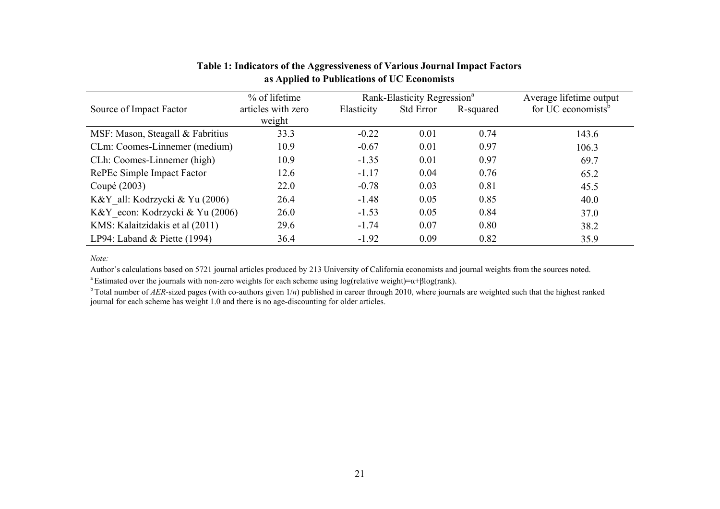|                                  | % of lifetime      |            | Rank-Elasticity Regression <sup>a</sup> |           | Average lifetime output        |
|----------------------------------|--------------------|------------|-----------------------------------------|-----------|--------------------------------|
| Source of Impact Factor          | articles with zero | Elasticity | <b>Std Error</b>                        | R-squared | for UC economists <sup>b</sup> |
|                                  | weight             |            |                                         |           |                                |
| MSF: Mason, Steagall & Fabritius | 33.3               | $-0.22$    | 0.01                                    | 0.74      | 143.6                          |
| CLm: Coomes-Linnemer (medium)    | 10.9               | $-0.67$    | 0.01                                    | 0.97      | 106.3                          |
| CLh: Coomes-Linnemer (high)      | 10.9               | $-1.35$    | 0.01                                    | 0.97      | 69.7                           |
| RePEc Simple Impact Factor       | 12.6               | $-1.17$    | 0.04                                    | 0.76      | 65.2                           |
| Coupé (2003)                     | 22.0               | $-0.78$    | 0.03                                    | 0.81      | 45.5                           |
| K&Y all: Kodrzycki & Yu (2006)   | 26.4               | $-1.48$    | 0.05                                    | 0.85      | 40.0                           |
| K&Y econ: Kodrzycki & Yu (2006)  | 26.0               | $-1.53$    | 0.05                                    | 0.84      | 37.0                           |
| KMS: Kalaitzidakis et al (2011)  | 29.6               | $-1.74$    | 0.07                                    | 0.80      | 38.2                           |
| LP94: Laband & Piette $(1994)$   | 36.4               | $-1.92$    | 0.09                                    | 0.82      | 35.9                           |

# **Table 1: Indicators of the Aggressiveness of Various Journal Impact Factors as Applied to Publications of UC Economists**

*Note:*

Author's calculations based on 5721 journal articles produced by 213 University of California economists and journal weights from the sources noted.

<sup>a</sup> Estimated over the journals with non-zero weights for each scheme using log(relative weight)= $\alpha$ + $\beta$ log(rank).

<sup>b</sup> Total number of *AER*-sized pages (with co-authors given  $1/n$ ) published in career through 2010, where journals are weighted such that the highest ranked journal for each scheme has weight 1.0 and there is no age-discounting for older articles.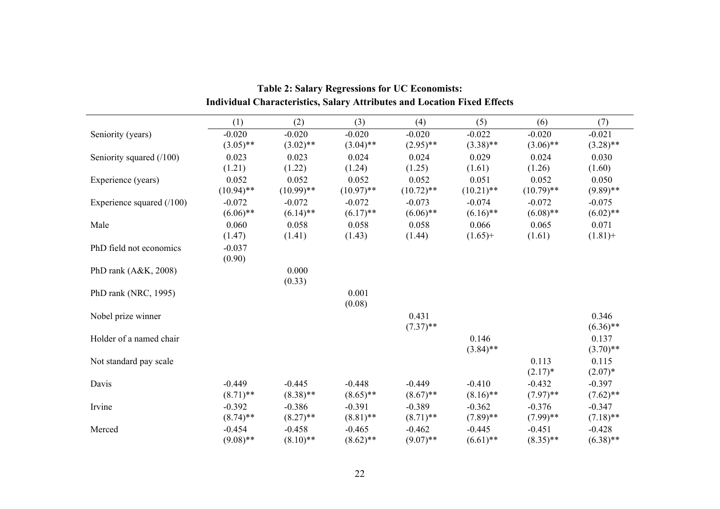|                            | (1)          | (2)          | (3)          | (4)          | (5)          | (6)          | (7)         |
|----------------------------|--------------|--------------|--------------|--------------|--------------|--------------|-------------|
| Seniority (years)          | $-0.020$     | $-0.020$     | $-0.020$     | $-0.020$     | $-0.022$     | $-0.020$     | $-0.021$    |
|                            | $(3.05)$ **  | $(3.02)$ **  | $(3.04)$ **  | $(2.95)$ **  | $(3.38)$ **  | $(3.06)$ **  | $(3.28)$ ** |
| Seniority squared (/100)   | 0.023        | 0.023        | 0.024        | 0.024        | 0.029        | 0.024        | 0.030       |
|                            | (1.21)       | (1.22)       | (1.24)       | (1.25)       | (1.61)       | (1.26)       | (1.60)      |
| Experience (years)         | 0.052        | 0.052        | 0.052        | 0.052        | 0.051        | 0.052        | 0.050       |
|                            | $(10.94)$ ** | $(10.99)$ ** | $(10.97)$ ** | $(10.72)$ ** | $(10.21)$ ** | $(10.79)$ ** | $(9.89)$ ** |
| Experience squared $(100)$ | $-0.072$     | $-0.072$     | $-0.072$     | $-0.073$     | $-0.074$     | $-0.072$     | $-0.075$    |
|                            | $(6.06)$ **  | $(6.14)$ **  | $(6.17)$ **  | $(6.06)$ **  | $(6.16)$ **  | $(6.08)$ **  | $(6.02)$ ** |
| Male                       | 0.060        | 0.058        | 0.058        | 0.058        | 0.066        | 0.065        | 0.071       |
|                            | (1.47)       | (1.41)       | (1.43)       | (1.44)       | $(1.65)$ +   | (1.61)       | $(1.81) +$  |
| PhD field not economics    | $-0.037$     |              |              |              |              |              |             |
|                            | (0.90)       |              |              |              |              |              |             |
| PhD rank $(A&K, 2008)$     |              | 0.000        |              |              |              |              |             |
|                            |              | (0.33)       |              |              |              |              |             |
| PhD rank (NRC, 1995)       |              |              | 0.001        |              |              |              |             |
|                            |              |              | (0.08)       |              |              |              |             |
| Nobel prize winner         |              |              |              | 0.431        |              |              | 0.346       |
|                            |              |              |              | $(7.37)$ **  |              |              | $(6.36)$ ** |
| Holder of a named chair    |              |              |              |              | 0.146        |              | 0.137       |
|                            |              |              |              |              | $(3.84)$ **  |              | $(3.70)$ ** |
| Not standard pay scale     |              |              |              |              |              | 0.113        | 0.115       |
|                            |              |              |              |              |              | $(2.17)^*$   | $(2.07)^*$  |
| Davis                      | $-0.449$     | $-0.445$     | $-0.448$     | $-0.449$     | $-0.410$     | $-0.432$     | $-0.397$    |
|                            | $(8.71)$ **  | $(8.38)$ **  | $(8.65)$ **  | $(8.67)$ **  | $(8.16)$ **  | $(7.97)$ **  | $(7.62)$ ** |
| Irvine                     | $-0.392$     | $-0.386$     | $-0.391$     | $-0.389$     | $-0.362$     | $-0.376$     | $-0.347$    |
|                            | $(8.74)$ **  | $(8.27)$ **  | $(8.81)$ **  | $(8.71)$ **  | $(7.89)$ **  | $(7.99)$ **  | $(7.18)$ ** |
| Merced                     | $-0.454$     | $-0.458$     | $-0.465$     | $-0.462$     | $-0.445$     | $-0.451$     | $-0.428$    |
|                            | $(9.08)$ **  | $(8.10)$ **  | $(8.62)$ **  | $(9.07)$ **  | $(6.61)$ **  | $(8.35)$ **  | $(6.38)$ ** |

# **Table 2: Salary Regressions for UC Economists: Individual Characteristics, Salary Attributes and Location Fixed Effects**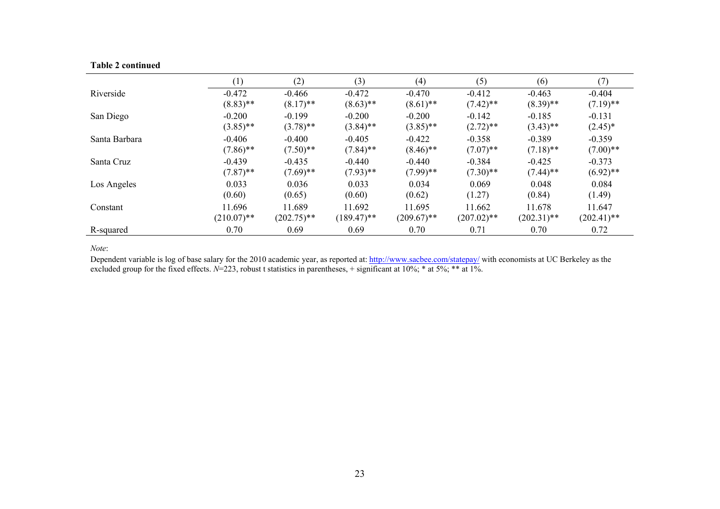|  | <b>Table 2 continued</b> |
|--|--------------------------|
|  |                          |

|               | (1)           | (2)           | (3)           | (4)           | (5)           | (6)           | (7)           |
|---------------|---------------|---------------|---------------|---------------|---------------|---------------|---------------|
| Riverside     | $-0.472$      | $-0.466$      | $-0.472$      | $-0.470$      | $-0.412$      | $-0.463$      | $-0.404$      |
|               | $(8.83)$ **   | $(8.17)$ **   | $(8.63)$ **   | $(8.61)$ **   | $(7.42)$ **   | $(8.39)$ **   | $(7.19)$ **   |
| San Diego     | $-0.200$      | $-0.199$      | $-0.200$      | $-0.200$      | $-0.142$      | $-0.185$      | $-0.131$      |
|               | $(3.85)$ **   | $(3.78)$ **   | $(3.84)$ **   | $(3.85)$ **   | $(2.72)$ **   | $(3.43)$ **   | $(2.45)^*$    |
| Santa Barbara | $-0.406$      | $-0.400$      | $-0.405$      | $-0.422$      | $-0.358$      | $-0.389$      | $-0.359$      |
|               | $(7.86)$ **   | $(7.50)$ **   | $(7.84)$ **   | $(8.46)$ **   | $(7.07)$ **   | $(7.18)$ **   | $(7.00)$ **   |
| Santa Cruz    | $-0.439$      | $-0.435$      | $-0.440$      | $-0.440$      | $-0.384$      | $-0.425$      | $-0.373$      |
|               | $(7.87)$ **   | $(7.69)$ **   | $(7.93)$ **   | $(7.99)$ **   | $(7.30)$ **   | $(7.44)$ **   | $(6.92)$ **   |
| Los Angeles   | 0.033         | 0.036         | 0.033         | 0.034         | 0.069         | 0.048         | 0.084         |
|               | (0.60)        | (0.65)        | (0.60)        | (0.62)        | (1.27)        | (0.84)        | (1.49)        |
| Constant      | 11.696        | 11.689        | 11.692        | 11.695        | 11.662        | 11.678        | 11.647        |
|               | $(210.07)$ ** | $(202.75)$ ** | $(189.47)$ ** | $(209.67)$ ** | $(207.02)$ ** | $(202.31)$ ** | $(202.41)$ ** |
| R-squared     | 0.70          | 0.69          | 0.69          | 0.70          | 0.71          | 0.70          | 0.72          |

*Note*:

Dependent variable is log of base salary for the 2010 academic year, as reported at: http://www.sacbee.com/statepay/ with economists at UC Berkeley as the excluded group for the fixed effects. *N*=223, robust t statistics in parentheses, + significant at 10%; \* at 5%; \*\* at 1%.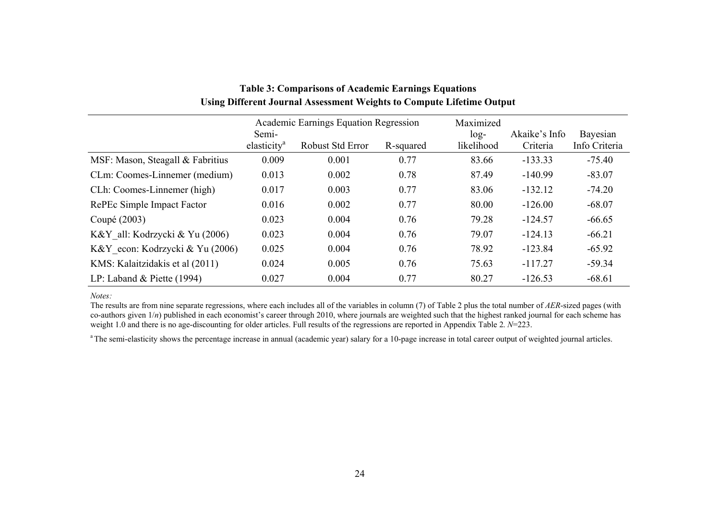|                                  |                                  | Academic Earnings Equation Regression |           | Maximized            |                           |                           |
|----------------------------------|----------------------------------|---------------------------------------|-----------|----------------------|---------------------------|---------------------------|
|                                  | Semi-<br>elasticity <sup>a</sup> | Robust Std Error                      | R-squared | $log-$<br>likelihood | Akaike's Info<br>Criteria | Bayesian<br>Info Criteria |
|                                  |                                  |                                       |           |                      |                           |                           |
| MSF: Mason, Steagall & Fabritius | 0.009                            | 0.001                                 | 0.77      | 83.66                | $-133.33$                 | $-75.40$                  |
| CLm: Coomes-Linnemer (medium)    | 0.013                            | 0.002                                 | 0.78      | 87.49                | $-140.99$                 | $-83.07$                  |
| CLh: Coomes-Linnemer (high)      | 0.017                            | 0.003                                 | 0.77      | 83.06                | $-132.12$                 | $-74.20$                  |
| RePEc Simple Impact Factor       | 0.016                            | 0.002                                 | 0.77      | 80.00                | $-126.00$                 | $-68.07$                  |
| Coupé (2003)                     | 0.023                            | 0.004                                 | 0.76      | 79.28                | $-124.57$                 | $-66.65$                  |
| K&Y all: Kodrzycki & Yu (2006)   | 0.023                            | 0.004                                 | 0.76      | 79.07                | $-124.13$                 | $-66.21$                  |
| K&Y econ: Kodrzycki & Yu (2006)  | 0.025                            | 0.004                                 | 0.76      | 78.92                | $-123.84$                 | $-65.92$                  |
| KMS: Kalaitzidakis et al (2011)  | 0.024                            | 0.005                                 | 0.76      | 75.63                | $-117.27$                 | $-59.34$                  |
| LP: Laband & Piette $(1994)$     | 0.027                            | 0.004                                 | 0.77      | 80.27                | $-126.53$                 | $-68.61$                  |

# **Table 3: Comparisons of Academic Earnings Equations Using Different Journal Assessment Weights to Compute Lifetime Output**

*Notes:*

The results are from nine separate regressions, where each includes all of the variables in column (7) of Table 2 plus the total number of *AER*-sized pages (with co-authors given  $1/n$ ) published in each economist's career through 2010, where journals are weighted such that the highest ranked journal for each scheme has weight 1.0 and there is no age-discounting for older articles. Full results of the regressions are reported in Appendix Table 2. *N*=223.

<sup>a</sup> The semi-elasticity shows the percentage increase in annual (academic year) salary for a 10-page increase in total career output of weighted journal articles.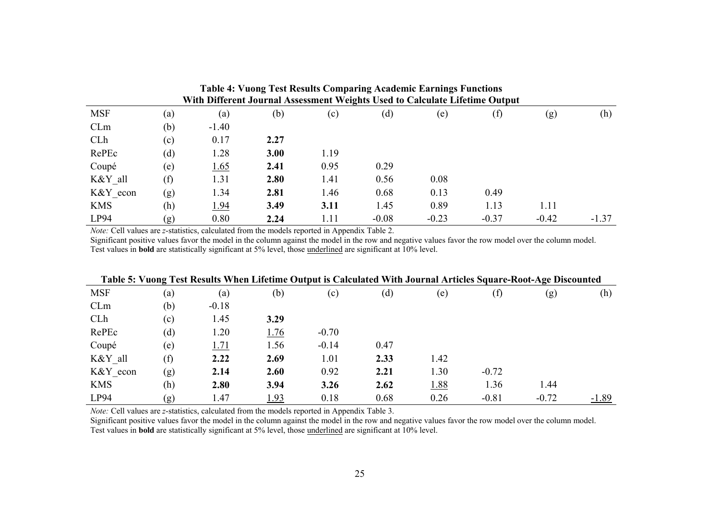|                                                                             | Table 4: Vuong Test Results Comparing Academic Earnings Functions |             |      |      |         |         |         |         |         |  |  |  |
|-----------------------------------------------------------------------------|-------------------------------------------------------------------|-------------|------|------|---------|---------|---------|---------|---------|--|--|--|
| With Different Journal Assessment Weights Used to Calculate Lifetime Output |                                                                   |             |      |      |         |         |         |         |         |  |  |  |
| <b>MSF</b>                                                                  | (a)                                                               | (a)         | (b)  | (c)  | (d)     | (e)     | (f)     | (g)     | (h)     |  |  |  |
| CLm                                                                         | (b)                                                               | $-1.40$     |      |      |         |         |         |         |         |  |  |  |
| <b>CLh</b>                                                                  | (c)                                                               | 0.17        | 2.27 |      |         |         |         |         |         |  |  |  |
| RePEc                                                                       | (d)                                                               | 1.28        | 3.00 | 1.19 |         |         |         |         |         |  |  |  |
| Coupé                                                                       | (e)                                                               | 1.65        | 2.41 | 0.95 | 0.29    |         |         |         |         |  |  |  |
| K&Y all                                                                     | (f)                                                               | 1.31        | 2.80 | 1.41 | 0.56    | 0.08    |         |         |         |  |  |  |
| K&Y econ                                                                    | (g)                                                               | 1.34        | 2.81 | 1.46 | 0.68    | 0.13    | 0.49    |         |         |  |  |  |
| <b>KMS</b>                                                                  | (h)                                                               | <u>1.94</u> | 3.49 | 3.11 | 1.45    | 0.89    | 1.13    | 1.11    |         |  |  |  |
| LP94                                                                        | (g)                                                               | 0.80        | 2.24 | 1.11 | $-0.08$ | $-0.23$ | $-0.37$ | $-0.42$ | $-1.37$ |  |  |  |

*Note:* Cell values are *z*-statistics, calculated from the models reported in Appendix Table 2.

Significant positive values favor the model in the column against the model in the row and negative values favor the row model over the column model. Test values in **bold** are statistically significant at 5% level, those underlined are significant at 10% level.

|            |     |         |      | Table 5: Vuong Test Results When Lifetime Output is Calculated With Journal Articles Square-Root-Age Discounted |      |             |         |         |         |
|------------|-----|---------|------|-----------------------------------------------------------------------------------------------------------------|------|-------------|---------|---------|---------|
| <b>MSF</b> | (a) | (a)     | (b)  | (c)                                                                                                             | (d)  | (e)         | (f)     | (g)     | (h)     |
| CLm        | (b) | $-0.18$ |      |                                                                                                                 |      |             |         |         |         |
| CLh        | (c) | 1.45    | 3.29 |                                                                                                                 |      |             |         |         |         |
| RePEc      | (d) | 1.20    | 1.76 | $-0.70$                                                                                                         |      |             |         |         |         |
| Coupé      | (e) | 1.71    | 1.56 | $-0.14$                                                                                                         | 0.47 |             |         |         |         |
| K&Y all    | (f) | 2.22    | 2.69 | 1.01                                                                                                            | 2.33 | 1.42        |         |         |         |
| K&Y econ   | (g) | 2.14    | 2.60 | 0.92                                                                                                            | 2.21 | 1.30        | $-0.72$ |         |         |
| <b>KMS</b> | (h) | 2.80    | 3.94 | 3.26                                                                                                            | 2.62 | <u>1.88</u> | 1.36    | 1.44    |         |
| LP94       | (g) | 1.47    | 1.93 | 0.18                                                                                                            | 0.68 | 0.26        | $-0.81$ | $-0.72$ | $-1.89$ |

*Note:* Cell values are *z*-statistics, calculated from the models reported in Appendix Table 3.

Significant positive values favor the model in the column against the model in the row and negative values favor the row model over the column model. Test values in **bold** are statistically significant at 5% level, those underlined are significant at 10% level.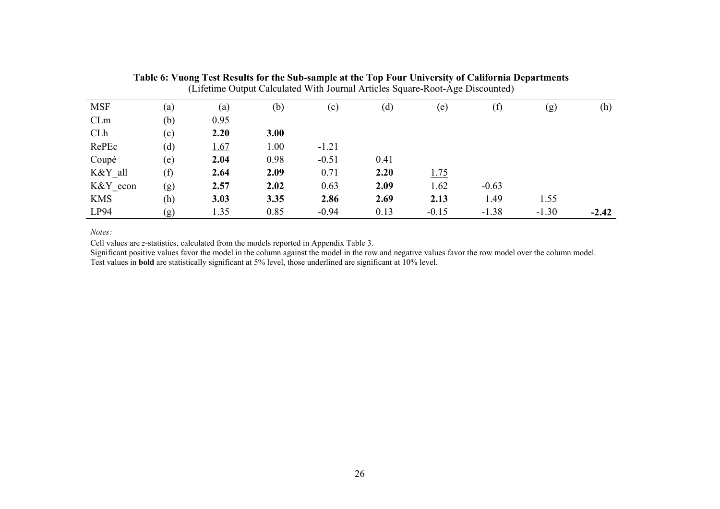|            | (Lifetime Output Calculated With Journal Articles Square-Root-Age Discounted) |      |      |         |      |         |         |         |         |  |  |  |
|------------|-------------------------------------------------------------------------------|------|------|---------|------|---------|---------|---------|---------|--|--|--|
| <b>MSF</b> | (a)                                                                           | (a)  | (b)  | (c)     | (d)  | (e)     | (f)     | (g)     | (h)     |  |  |  |
| CLm        | (b)                                                                           | 0.95 |      |         |      |         |         |         |         |  |  |  |
| CLh        | (c)                                                                           | 2.20 | 3.00 |         |      |         |         |         |         |  |  |  |
| RePEc      | (d)                                                                           | 1.67 | 1.00 | $-1.21$ |      |         |         |         |         |  |  |  |
| Coupé      | (e)                                                                           | 2.04 | 0.98 | $-0.51$ | 0.41 |         |         |         |         |  |  |  |
| K&Y all    | (f)                                                                           | 2.64 | 2.09 | 0.71    | 2.20 | 1.75    |         |         |         |  |  |  |
| K&Y econ   | (g)                                                                           | 2.57 | 2.02 | 0.63    | 2.09 | 1.62    | $-0.63$ |         |         |  |  |  |
| <b>KMS</b> | (h)                                                                           | 3.03 | 3.35 | 2.86    | 2.69 | 2.13    | 1.49    | 1.55    |         |  |  |  |
| LP94       | (g)                                                                           | 1.35 | 0.85 | $-0.94$ | 0.13 | $-0.15$ | $-1.38$ | $-1.30$ | $-2.42$ |  |  |  |

**Table 6: Vuong Test Results for the Sub-sample at the Top Four University of California Departments** 

*Notes:*

Cell values are *z*-statistics, calculated from the models reported in Appendix Table 3.

Significant positive values favor the model in the column against the model in the row and negative values favor the row model over the column model. Test values in **bold** are statistically significant at 5% level, those underlined are significant at 10% level.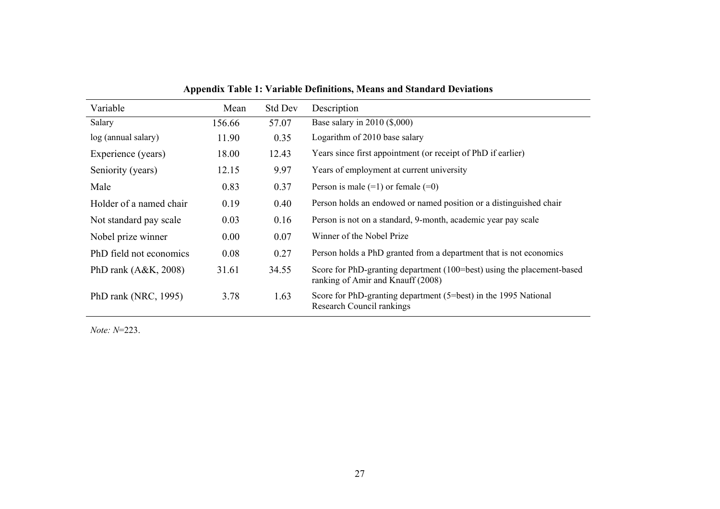| Variable                | Mean   | <b>Std Dev</b> | Description                                                                                                 |
|-------------------------|--------|----------------|-------------------------------------------------------------------------------------------------------------|
| Salary                  | 156.66 | 57.07          | Base salary in $2010$ (\$,000)                                                                              |
| log (annual salary)     | 11.90  | 0.35           | Logarithm of 2010 base salary                                                                               |
| Experience (years)      | 18.00  | 12.43          | Years since first appointment (or receipt of PhD if earlier)                                                |
| Seniority (years)       | 12.15  | 9.97           | Years of employment at current university                                                                   |
| Male                    | 0.83   | 0.37           | Person is male $(=1)$ or female $(=0)$                                                                      |
| Holder of a named chair | 0.19   | 0.40           | Person holds an endowed or named position or a distinguished chair                                          |
| Not standard pay scale  | 0.03   | 0.16           | Person is not on a standard, 9-month, academic year pay scale                                               |
| Nobel prize winner      | 0.00   | 0.07           | Winner of the Nobel Prize                                                                                   |
| PhD field not economics | 0.08   | 0.27           | Person holds a PhD granted from a department that is not economics                                          |
| PhD rank $(A&K, 2008)$  | 31.61  | 34.55          | Score for PhD-granting department (100=best) using the placement-based<br>ranking of Amir and Knauff (2008) |
| PhD rank (NRC, 1995)    | 3.78   | 1.63           | Score for PhD-granting department (5=best) in the 1995 National<br>Research Council rankings                |

**Appendix Table 1: Variable Definitions, Means and Standard Deviations** 

*Note: N*=223.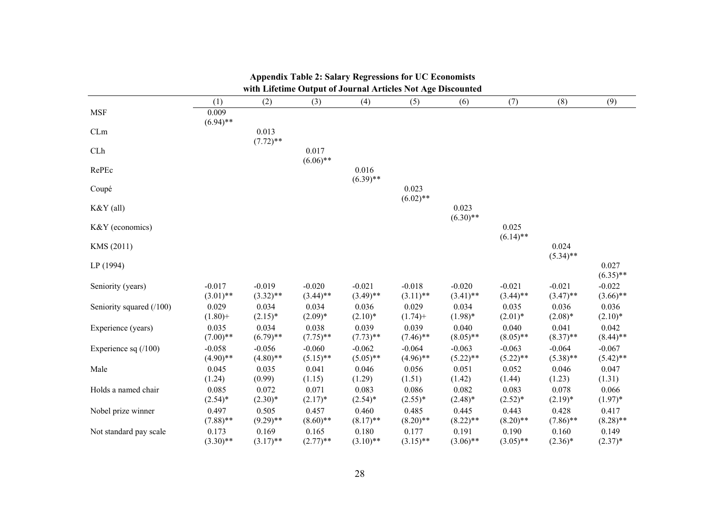|                          |                         |                         | with Lifethne Output of Journal Articles Not Age Discounted |                         |                         |                         |                         |                         |                         |
|--------------------------|-------------------------|-------------------------|-------------------------------------------------------------|-------------------------|-------------------------|-------------------------|-------------------------|-------------------------|-------------------------|
|                          | (1)                     | (2)                     | (3)                                                         | (4)                     | (5)                     | (6)                     | (7)                     | (8)                     | (9)                     |
| <b>MSF</b>               | 0.009<br>$(6.94)$ **    |                         |                                                             |                         |                         |                         |                         |                         |                         |
| CLm                      |                         | 0.013<br>$(7.72)$ **    |                                                             |                         |                         |                         |                         |                         |                         |
| CLh                      |                         |                         | 0.017<br>$(6.06)$ **                                        |                         |                         |                         |                         |                         |                         |
| RePEc                    |                         |                         |                                                             | 0.016<br>$(6.39)$ **    |                         |                         |                         |                         |                         |
| Coupé                    |                         |                         |                                                             |                         | 0.023<br>$(6.02)$ **    |                         |                         |                         |                         |
| $K&Y$ (all)              |                         |                         |                                                             |                         |                         | 0.023<br>$(6.30)$ **    |                         |                         |                         |
| K&Y (economics)          |                         |                         |                                                             |                         |                         |                         | 0.025<br>$(6.14)$ **    |                         |                         |
| KMS (2011)               |                         |                         |                                                             |                         |                         |                         |                         | 0.024<br>$(5.34)$ **    |                         |
| LP (1994)                |                         |                         |                                                             |                         |                         |                         |                         |                         | 0.027<br>$(6.35)$ **    |
| Seniority (years)        | $-0.017$<br>$(3.01)$ ** | $-0.019$<br>$(3.32)$ ** | $-0.020$<br>$(3.44)$ **                                     | $-0.021$<br>$(3.49)$ ** | $-0.018$<br>$(3.11)$ ** | $-0.020$<br>$(3.41)$ ** | $-0.021$<br>$(3.44)$ ** | $-0.021$<br>$(3.47)$ ** | $-0.022$<br>$(3.66)$ ** |
| Seniority squared (/100) | 0.029<br>$(1.80) +$     | 0.034<br>$(2.15)^*$     | 0.034<br>$(2.09)*$                                          | 0.036<br>$(2.10)*$      | 0.029<br>$(1.74) +$     | 0.034<br>$(1.98)*$      | 0.035<br>$(2.01)^*$     | 0.036<br>$(2.08)*$      | 0.036<br>$(2.10)*$      |
| Experience (years)       | 0.035<br>$(7.00)**$     | 0.034<br>$(6.79)$ **    | 0.038<br>$(7.75)$ **                                        | 0.039<br>$(7.73)$ **    | 0.039<br>$(7.46)$ **    | 0.040<br>$(8.05)$ **    | 0.040<br>$(8.05)$ **    | 0.041<br>$(8.37)$ **    | 0.042<br>$(8.44)$ **    |
| Experience sq $(100)$    | $-0.058$<br>$(4.90)$ ** | $-0.056$<br>$(4.80)$ ** | $-0.060$<br>$(5.15)$ **                                     | $-0.062$<br>$(5.05)$ ** | $-0.064$<br>$(4.96)$ ** | $-0.063$<br>$(5.22)$ ** | $-0.063$<br>$(5.22)$ ** | $-0.064$<br>$(5.38)$ ** | $-0.067$<br>$(5.42)$ ** |
| Male                     | 0.045<br>(1.24)         | 0.035<br>(0.99)         | 0.041<br>(1.15)                                             | 0.046<br>(1.29)         | 0.056<br>(1.51)         | 0.051<br>(1.42)         | 0.052<br>(1.44)         | 0.046<br>(1.23)         | 0.047<br>(1.31)         |
| Holds a named chair      | 0.085<br>$(2.54)$ *     | 0.072<br>$(2.30)*$      | 0.071<br>$(2.17)^*$                                         | 0.083<br>$(2.54)^*$     | 0.086<br>$(2.55)*$      | 0.082<br>$(2.48)*$      | 0.083<br>$(2.52)^*$     | 0.078<br>$(2.19)^*$     | 0.066<br>$(1.97)^*$     |
| Nobel prize winner       | 0.497<br>$(7.88)$ **    | 0.505<br>$(9.29)$ **    | 0.457<br>$(8.60)$ **                                        | 0.460<br>$(8.17)$ **    | 0.485<br>$(8.20)$ **    | 0.445<br>$(8.22)$ **    | 0.443<br>$(8.20)$ **    | 0.428<br>$(7.86)$ **    | 0.417<br>$(8.28)$ **    |
| Not standard pay scale   | 0.173<br>$(3.30)$ **    | 0.169<br>$(3.17)$ **    | 0.165<br>$(2.77)$ **                                        | 0.180<br>$(3.10)$ **    | 0.177<br>$(3.15)$ **    | 0.191<br>$(3.06)$ **    | 0.190<br>$(3.05)$ **    | 0.160<br>$(2.36)^*$     | 0.149<br>$(2.37)^*$     |

#### **Appendix Table 2: Salary Regressions for UC Economists**  with Lifetime Output of Journal Articles Not Age Discounted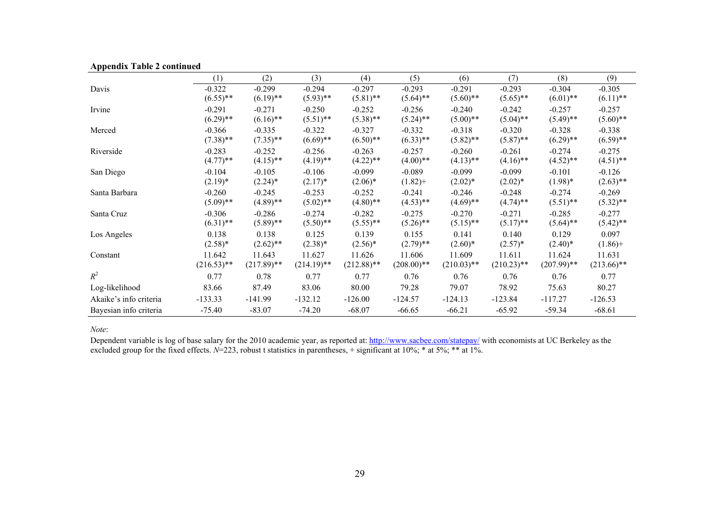| . .                    | (1)           | (2)           | (3)           | (4)           | (5)          | (6)           | (7)           | (8)           | (9)           |
|------------------------|---------------|---------------|---------------|---------------|--------------|---------------|---------------|---------------|---------------|
| Davis                  | $-0.322$      | $-0.299$      | $-0.294$      | $-0.297$      | $-0.293$     | $-0.291$      | $-0.293$      | $-0.304$      | $-0.305$      |
|                        | $(6.55)$ **   | $(6.19)$ **   | $(5.93)$ **   | $(5.81)$ **   | $(5.64)$ **  | $(5.60)$ **   | $(5.65)$ **   | $(6.01)$ **   | $(6.11)$ **   |
| Irvine                 | $-0.291$      | $-0.271$      | $-0.250$      | $-0.252$      | $-0.256$     | $-0.240$      | $-0.242$      | $-0.257$      | $-0.257$      |
|                        | $(6.29)$ **   | $(6.16)$ **   | $(5.51)$ **   | $(5.38)$ **   | $(5.24)$ **  | $(5.00)$ **   | $(5.04)$ **   | $(5.49)$ **   | $(5.60)$ **   |
| Merced                 | $-0.366$      | $-0.335$      | $-0.322$      | $-0.327$      | $-0.332$     | $-0.318$      | $-0.320$      | $-0.328$      | $-0.338$      |
|                        | $(7.38)$ **   | $(7.35)$ **   | $(6.69)$ **   | $(6.50)$ **   | $(6.33)$ **  | $(5.82)$ **   | $(5.87)$ **   | $(6.29)$ **   | $(6.59)$ **   |
| Riverside              | $-0.283$      | $-0.252$      | $-0.256$      | $-0.263$      | $-0.257$     | $-0.260$      | $-0.261$      | $-0.274$      | $-0.275$      |
|                        | $(4.77)$ **   | $(4.15)$ **   | $(4.19)$ **   | $(4.22)$ **   | $(4.00)$ **  | $(4.13)$ **   | $(4.16)$ **   | $(4.52)$ **   | $(4.51)$ **   |
| San Diego              | $-0.104$      | $-0.105$      | $-0.106$      | $-0.099$      | $-0.089$     | $-0.099$      | $-0.099$      | $-0.101$      | $-0.126$      |
|                        | $(2.19)*$     | $(2.24)$ *    | $(2.17)^*$    | $(2.06)^*$    | $(1.82) +$   | $(2.02)*$     | $(2.02)^*$    | $(1.98)*$     | $(2.63)$ **   |
| Santa Barbara          | $-0.260$      | $-0.245$      | $-0.253$      | $-0.252$      | $-0.241$     | $-0.246$      | $-0.248$      | $-0.274$      | $-0.269$      |
|                        | $(5.09)$ **   | $(4.89)$ **   | $(5.02)$ **   | $(4.80)$ **   | $(4.53)$ **  | $(4.69)$ **   | $(4.74)$ **   | $(5.51)$ **   | $(5.32)$ **   |
| Santa Cruz             | $-0.306$      | $-0.286$      | $-0.274$      | $-0.282$      | $-0.275$     | $-0.270$      | $-0.271$      | $-0.285$      | $-0.277$      |
|                        | $(6.31)$ **   | $(5.89)$ **   | $(5.50)$ **   | $(5.55)$ **   | $(5.26)$ **  | $(5.15)$ **   | $(5.17)$ **   | $(5.64)$ **   | $(5.42)$ **   |
| Los Angeles            | 0.138         | 0.138         | 0.125         | 0.139         | 0.155        | 0.141         | 0.140         | 0.129         | 0.097         |
|                        | $(2.58)*$     | $(2.62)$ **   | $(2.38)*$     | $(2.56)^*$    | $(2.79)$ **  | $(2.60)*$     | $(2.57)^*$    | $(2.40)*$     | $(1.86) +$    |
| Constant               | 11.642        | 11.643        | 11.627        | 11.626        | 11.606       | 11.609        | 11.611        | 11.624        | 11.631        |
|                        | $(216.53)$ ** | $(217.89)$ ** | $(214.19)$ ** | $(212.88)$ ** | $(208.00)**$ | $(210.03)$ ** | $(210.23)$ ** | $(207.99)$ ** | $(213.66)$ ** |
| $R^2$                  | 0.77          | 0.78          | 0.77          | 0.77          | 0.76         | 0.76          | 0.76          | 0.76          | 0.77          |
| Log-likelihood         | 83.66         | 87.49         | 83.06         | 80.00         | 79.28        | 79.07         | 78.92         | 75.63         | 80.27         |
| Akaike's info criteria | $-133.33$     | $-141.99$     | $-132.12$     | $-126.00$     | $-124.57$    | $-124.13$     | $-123.84$     | $-117.27$     | $-126.53$     |
| Bayesian info criteria | $-75.40$      | $-83.07$      | $-74.20$      | $-68.07$      | $-66.65$     | $-66.21$      | $-65.92$      | $-59.34$      | $-68.61$      |

### **Appendix Table 2 continued**

*Note*:

Dependent variable is log of base salary for the 2010 academic year, as reported at: http://www.sacbee.com/statepay/ with economists at UC Berkeley as the excluded group for the fixed effects. *N*=223, robust t statistics in parentheses, + significant at 10%; \* at 5%; \*\* at 1%.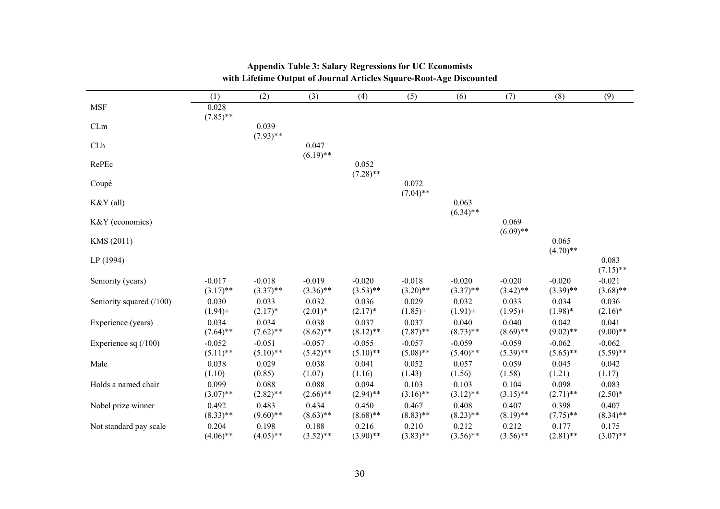|                          | (1)                     | (2)                     | (3)                     | (4)                     | (5)                     | (6)                     | (7)                     | (8)                     | (9)                     |
|--------------------------|-------------------------|-------------------------|-------------------------|-------------------------|-------------------------|-------------------------|-------------------------|-------------------------|-------------------------|
| <b>MSF</b>               | 0.028<br>$(7.85)$ **    |                         |                         |                         |                         |                         |                         |                         |                         |
| CLm                      |                         | 0.039<br>$(7.93)$ **    |                         |                         |                         |                         |                         |                         |                         |
| CLh                      |                         |                         | 0.047<br>$(6.19)$ **    |                         |                         |                         |                         |                         |                         |
| RePEc                    |                         |                         |                         | 0.052<br>$(7.28)$ **    |                         |                         |                         |                         |                         |
| Coupé                    |                         |                         |                         |                         | 0.072<br>$(7.04)$ **    |                         |                         |                         |                         |
| K&Y (all)                |                         |                         |                         |                         |                         | 0.063<br>$(6.34)$ **    |                         |                         |                         |
| K&Y (economics)          |                         |                         |                         |                         |                         |                         | 0.069<br>$(6.09)$ **    |                         |                         |
| KMS (2011)               |                         |                         |                         |                         |                         |                         |                         | 0.065<br>$(4.70)$ **    |                         |
| LP (1994)                |                         |                         |                         |                         |                         |                         |                         |                         | 0.083<br>$(7.15)$ **    |
| Seniority (years)        | $-0.017$<br>$(3.17)$ ** | $-0.018$<br>$(3.37)$ ** | $-0.019$<br>$(3.36)$ ** | $-0.020$<br>$(3.53)$ ** | $-0.018$<br>$(3.20)$ ** | $-0.020$<br>$(3.37)$ ** | $-0.020$<br>$(3.42)$ ** | $-0.020$<br>$(3.39)$ ** | $-0.021$<br>$(3.68)$ ** |
| Seniority squared (/100) | 0.030<br>$(1.94) +$     | 0.033<br>$(2.17)^*$     | 0.032<br>$(2.01)*$      | 0.036<br>$(2.17)^*$     | 0.029<br>$(1.85) +$     | 0.032<br>$(1.91) +$     | 0.033<br>$(1.95) +$     | 0.034<br>$(1.98)*$      | 0.036<br>$(2.16)^*$     |
| Experience (years)       | 0.034<br>$(7.64)$ **    | 0.034<br>$(7.62)$ **    | 0.038<br>$(8.62)$ **    | 0.037<br>$(8.12)$ **    | 0.037<br>$(7.87)$ **    | 0.040<br>$(8.73)$ **    | 0.040<br>$(8.69)$ **    | 0.042<br>$(9.02)$ **    | 0.041<br>$(9.00)$ **    |
| Experience sq $(100)$    | $-0.052$<br>$(5.11)$ ** | $-0.051$<br>$(5.10)$ ** | $-0.057$<br>$(5.42)$ ** | $-0.055$<br>$(5.10)$ ** | $-0.057$<br>$(5.08)$ ** | $-0.059$<br>$(5.40)$ ** | $-0.059$<br>$(5.39)$ ** | $-0.062$<br>$(5.65)$ ** | $-0.062$<br>$(5.59)$ ** |
| Male                     | 0.038<br>(1.10)         | 0.029<br>(0.85)         | 0.038<br>(1.07)         | 0.041<br>(1.16)         | 0.052<br>(1.43)         | 0.057<br>(1.56)         | 0.059<br>(1.58)         | 0.045<br>(1.21)         | 0.042<br>(1.17)         |
| Holds a named chair      | 0.099<br>$(3.07)$ **    | 0.088<br>$(2.82)$ **    | 0.088<br>$(2.66)$ **    | 0.094<br>$(2.94)$ **    | 0.103<br>$(3.16)$ **    | 0.103<br>$(3.12)$ **    | 0.104<br>$(3.15)$ **    | 0.098<br>$(2.71)$ **    | 0.083<br>$(2.50)*$      |
| Nobel prize winner       | 0.492<br>$(8.33)$ **    | 0.483<br>$(9.60)$ **    | 0.434<br>$(8.63)$ **    | 0.450<br>$(8.68)$ **    | 0.467<br>$(8.83)$ **    | 0.408<br>$(8.23)$ **    | 0.407<br>$(8.19)$ **    | 0.398<br>$(7.75)$ **    | 0.407<br>$(8.34)$ **    |
| Not standard pay scale   | 0.204<br>$(4.06)$ **    | 0.198<br>$(4.05)$ **    | 0.188<br>$(3.52)$ **    | 0.216<br>$(3.90)$ **    | 0.210<br>$(3.83)$ **    | 0.212<br>$(3.56)$ **    | 0.212<br>$(3.56)$ **    | 0.177<br>$(2.81)$ **    | 0.175<br>$(3.07)$ **    |

# **Appendix Table 3: Salary Regressions for UC Economists with Lifetime Output of Journal Articles Square-Root-Age Discounted**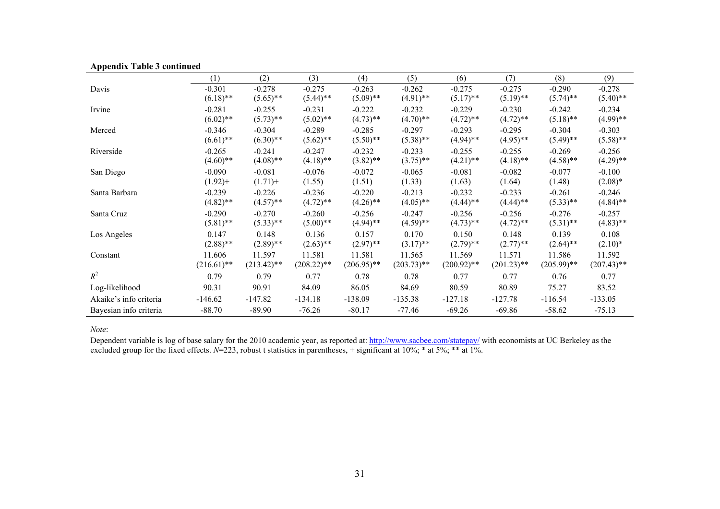| . .                    | (1)           | (2)           | (3)           | (4)           | (5)           | (6)           | (7)           | (8)           | (9)           |
|------------------------|---------------|---------------|---------------|---------------|---------------|---------------|---------------|---------------|---------------|
| Davis                  | $-0.301$      | $-0.278$      | $-0.275$      | $-0.263$      | $-0.262$      | $-0.275$      | $-0.275$      | $-0.290$      | $-0.278$      |
|                        | $(6.18)$ **   | $(5.65)$ **   | $(5.44)$ **   | $(5.09)$ **   | $(4.91)$ **   | $(5.17)$ **   | $(5.19)$ **   | $(5.74)$ **   | $(5.40)$ **   |
| Irvine                 | $-0.281$      | $-0.255$      | $-0.231$      | $-0.222$      | $-0.232$      | $-0.229$      | $-0.230$      | $-0.242$      | $-0.234$      |
|                        | $(6.02)$ **   | $(5.73)$ **   | $(5.02)$ **   | $(4.73)$ **   | $(4.70)$ **   | $(4.72)$ **   | $(4.72)$ **   | $(5.18)$ **   | $(4.99)$ **   |
| Merced                 | $-0.346$      | $-0.304$      | $-0.289$      | $-0.285$      | $-0.297$      | $-0.293$      | $-0.295$      | $-0.304$      | $-0.303$      |
|                        | $(6.61)$ **   | $(6.30)$ **   | $(5.62)$ **   | $(5.50)$ **   | $(5.38)$ **   | $(4.94)$ **   | $(4.95)$ **   | $(5.49)$ **   | $(5.58)$ **   |
| Riverside              | $-0.265$      | $-0.241$      | $-0.247$      | $-0.232$      | $-0.233$      | $-0.255$      | $-0.255$      | $-0.269$      | $-0.256$      |
|                        | $(4.60)$ **   | $(4.08)$ **   | $(4.18)$ **   | $(3.82)$ **   | $(3.75)$ **   | $(4.21)$ **   | $(4.18)$ **   | $(4.58)$ **   | $(4.29)$ **   |
| San Diego              | $-0.090$      | $-0.081$      | $-0.076$      | $-0.072$      | $-0.065$      | $-0.081$      | $-0.082$      | $-0.077$      | $-0.100$      |
|                        | $(1.92) +$    | $(1.71) +$    | (1.55)        | (1.51)        | (1.33)        | (1.63)        | (1.64)        | (1.48)        | $(2.08)*$     |
| Santa Barbara          | $-0.239$      | $-0.226$      | $-0.236$      | $-0.220$      | $-0.213$      | $-0.232$      | $-0.233$      | $-0.261$      | $-0.246$      |
|                        | $(4.82)$ **   | $(4.57)$ **   | $(4.72)$ **   | $(4.26)$ **   | $(4.05)$ **   | $(4.44)$ **   | $(4.44)$ **   | $(5.33)$ **   | $(4.84)$ **   |
| Santa Cruz             | $-0.290$      | $-0.270$      | $-0.260$      | $-0.256$      | $-0.247$      | $-0.256$      | $-0.256$      | $-0.276$      | $-0.257$      |
|                        | $(5.81)$ **   | $(5.33)$ **   | $(5.00)$ **   | $(4.94)$ **   | $(4.59)$ **   | $(4.73)$ **   | $(4.72)$ **   | $(5.31)$ **   | $(4.83)$ **   |
| Los Angeles            | 0.147         | 0.148         | 0.136         | 0.157         | 0.170         | 0.150         | 0.148         | 0.139         | 0.108         |
|                        | $(2.88)$ **   | $(2.89)$ **   | $(2.63)$ **   | $(2.97)$ **   | $(3.17)$ **   | $(2.79)$ **   | $(2.77)$ **   | $(2.64)$ **   | $(2.10)*$     |
| Constant               | 11.606        | 11.597        | 11.581        | 11.581        | 11.565        | 11.569        | 11.571        | 11.586        | 11.592        |
|                        | $(216.61)$ ** | $(213.42)$ ** | $(208.22)$ ** | $(206.95)$ ** | $(203.73)$ ** | $(200.92)$ ** | $(201.23)$ ** | $(205.99)$ ** | $(207.43)$ ** |
| $R^2$                  | 0.79          | 0.79          | 0.77          | 0.78          | 0.78          | 0.77          | 0.77          | 0.76          | 0.77          |
| Log-likelihood         | 90.31         | 90.91         | 84.09         | 86.05         | 84.69         | 80.59         | 80.89         | 75.27         | 83.52         |
| Akaike's info criteria | $-146.62$     | $-147.82$     | $-134.18$     | $-138.09$     | $-135.38$     | $-127.18$     | $-127.78$     | $-116.54$     | $-133.05$     |
| Bayesian info criteria | $-88.70$      | $-89.90$      | $-76.26$      | $-80.17$      | $-77.46$      | $-69.26$      | $-69.86$      | $-58.62$      | $-75.13$      |

### **Appendix Table 3 continued**

*Note*:

Dependent variable is log of base salary for the 2010 academic year, as reported at: http://www.sacbee.com/statepay/ with economists at UC Berkeley as the excluded group for the fixed effects. *N*=223, robust t statistics in parentheses, + significant at 10%; \* at 5%; \*\* at 1%.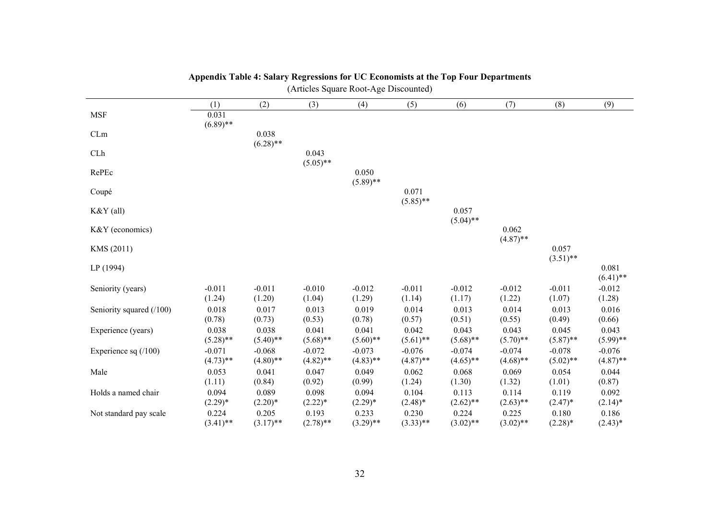| (Articles Square Root-Age Discounted) |                         |                         |                         |                         |                         |                         |                         |                         |                         |
|---------------------------------------|-------------------------|-------------------------|-------------------------|-------------------------|-------------------------|-------------------------|-------------------------|-------------------------|-------------------------|
|                                       | (1)                     | (2)                     | (3)                     | (4)                     | (5)                     | (6)                     | (7)                     | (8)                     | (9)                     |
| <b>MSF</b>                            | 0.031<br>$(6.89)$ **    |                         |                         |                         |                         |                         |                         |                         |                         |
| CLm                                   |                         | 0.038<br>$(6.28)$ **    |                         |                         |                         |                         |                         |                         |                         |
| CLh                                   |                         |                         | 0.043<br>$(5.05)$ **    |                         |                         |                         |                         |                         |                         |
| RePEc                                 |                         |                         |                         | 0.050<br>$(5.89)$ **    |                         |                         |                         |                         |                         |
| Coupé                                 |                         |                         |                         |                         | 0.071<br>$(5.85)$ **    |                         |                         |                         |                         |
| $K&Y$ (all)                           |                         |                         |                         |                         |                         | 0.057<br>$(5.04)$ **    |                         |                         |                         |
| K&Y (economics)                       |                         |                         |                         |                         |                         |                         | 0.062<br>$(4.87)$ **    |                         |                         |
| KMS (2011)                            |                         |                         |                         |                         |                         |                         |                         | 0.057<br>$(3.51)$ **    |                         |
| LP(1994)                              |                         |                         |                         |                         |                         |                         |                         |                         | 0.081<br>$(6.41)$ **    |
| Seniority (years)                     | $-0.011$<br>(1.24)      | $-0.011$<br>(1.20)      | $-0.010$<br>(1.04)      | $-0.012$<br>(1.29)      | $-0.011$<br>(1.14)      | $-0.012$<br>(1.17)      | $-0.012$<br>(1.22)      | $-0.011$<br>(1.07)      | $-0.012$<br>(1.28)      |
| Seniority squared (/100)              | 0.018<br>(0.78)         | 0.017<br>(0.73)         | 0.013<br>(0.53)         | 0.019<br>(0.78)         | 0.014<br>(0.57)         | 0.013<br>(0.51)         | 0.014<br>(0.55)         | 0.013<br>(0.49)         | 0.016<br>(0.66)         |
| Experience (years)                    | 0.038<br>$(5.28)$ **    | 0.038<br>$(5.40)$ **    | 0.041<br>$(5.68)$ **    | 0.041<br>$(5.60)$ **    | 0.042<br>$(5.61)$ **    | 0.043<br>$(5.68)$ **    | 0.043<br>$(5.70)$ **    | 0.045<br>$(5.87)$ **    | 0.043<br>$(5.99)$ **    |
| Experience sq $(100)$                 | $-0.071$<br>$(4.73)$ ** | $-0.068$<br>$(4.80)$ ** | $-0.072$<br>$(4.82)$ ** | $-0.073$<br>$(4.83)$ ** | $-0.076$<br>$(4.87)$ ** | $-0.074$<br>$(4.65)$ ** | $-0.074$<br>$(4.68)$ ** | $-0.078$<br>$(5.02)$ ** | $-0.076$<br>$(4.87)$ ** |
| Male                                  | 0.053<br>(1.11)         | 0.041<br>(0.84)         | 0.047<br>(0.92)         | 0.049<br>(0.99)         | 0.062<br>(1.24)         | 0.068<br>(1.30)         | 0.069<br>(1.32)         | 0.054<br>(1.01)         | 0.044<br>(0.87)         |
| Holds a named chair                   | 0.094<br>$(2.29)*$      | 0.089<br>$(2.20)*$      | 0.098<br>$(2.22)*$      | 0.094<br>$(2.29)^*$     | 0.104<br>$(2.48)$ *     | 0.113<br>$(2.62)$ **    | 0.114<br>$(2.63)$ **    | 0.119<br>$(2.47)^*$     | 0.092<br>$(2.14)^*$     |
| Not standard pay scale                | 0.224<br>$(3.41)$ **    | 0.205<br>$(3.17)$ **    | 0.193<br>$(2.78)$ **    | 0.233<br>$(3.29)$ **    | 0.230<br>$(3.33)$ **    | 0.224<br>$(3.02)$ **    | 0.225<br>$(3.02)$ **    | 0.180<br>$(2.28)$ *     | 0.186<br>$(2.43)*$      |

#### **Appendix Table 4: Salary Regressions for UC Economists at the Top Four Departments**